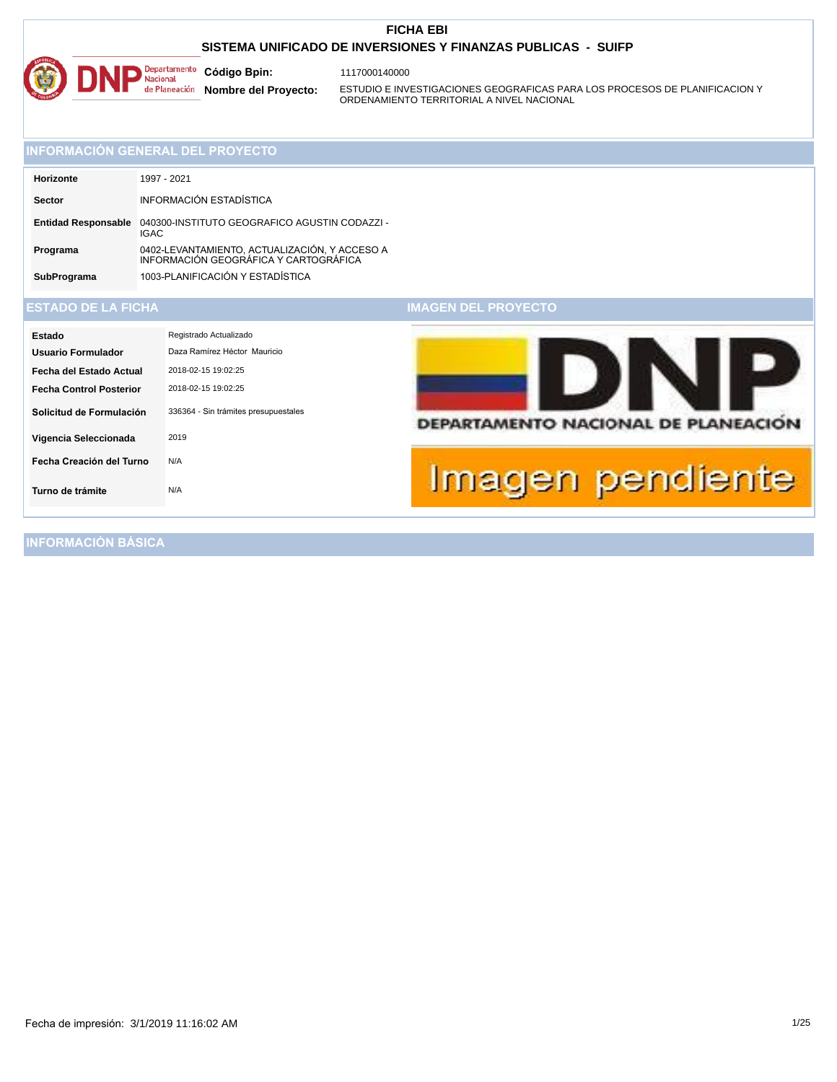

1117000140000

**Nombre del Proyecto:** 

ESTUDIO E INVESTIGACIONES GEOGRAFICAS PARA LOS PROCESOS DE PLANIFICACION Y ORDENAMIENTO TERRITORIAL A NIVEL NACIONAL

# **INFORMACIÓN GENERAL DEL PROYECTO**

| Horizonte                  | 1997 - 2021                                                                            |
|----------------------------|----------------------------------------------------------------------------------------|
| <b>Sector</b>              | <b>INFORMACIÓN ESTADÍSTICA</b>                                                         |
| <b>Entidad Responsable</b> | 040300-INSTITUTO GEOGRAFICO AGUSTIN CODAZZI -<br><b>IGAC</b>                           |
| Programa                   | 0402-LEVANTAMIENTO, ACTUALIZACIÓN, Y ACCESO A<br>INFORMACIÓN GEOGRÁFICA Y CARTOGRÁFICA |
| SubPrograma                | 1003-PLANIFICACIÓN Y ESTADÍSTICA                                                       |

**ESTADO DE LA FICHA IMAGEN DEL PROYECTO**



**INFORMACIÓN BÁSICA**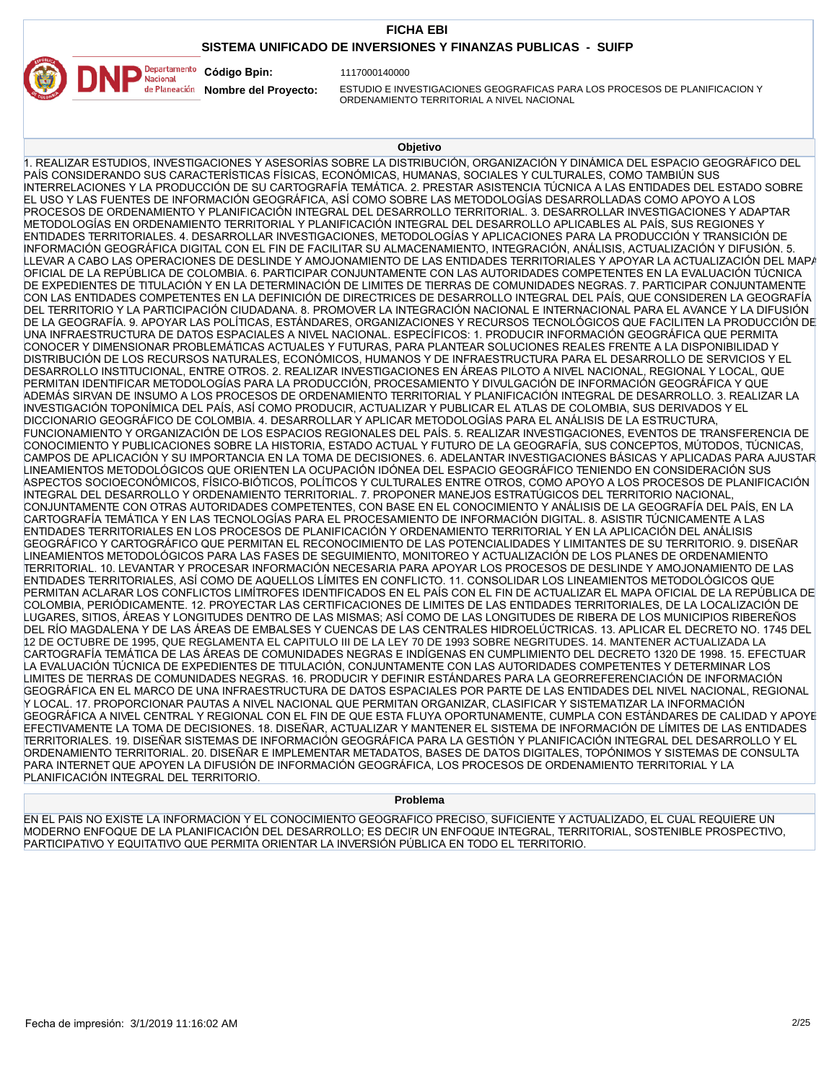#### **SISTEMA UNIFICADO DE INVERSIONES Y FINANZAS PUBLICAS - SUIFP**



1117000140000

**Nombre del Proyecto:** 

ESTUDIO E INVESTIGACIONES GEOGRAFICAS PARA LOS PROCESOS DE PLANIFICACION Y ORDENAMIENTO TERRITORIAL A NIVEL NACIONAL

#### **Objetivo**

1. REALIZAR ESTUDIOS, INVESTIGACIONES Y ASESORÍAS SOBRE LA DISTRIBUCIÓN, ORGANIZACIÓN Y DINÁMICA DEL ESPACIO GEOGRÁFICO DEL PAÍS CONSIDERANDO SUS CARACTERÍSTICAS FÍSICAS, ECONÓMICAS, HUMANAS, SOCIALES Y CULTURALES, COMO TAMBIÚN SUS INTERRELACIONES Y LA PRODUCCIÓN DE SU CARTOGRAFÍA TEMÁTICA. 2. PRESTAR ASISTENCIA TÚCNICA A LAS ENTIDADES DEL ESTADO SOBRE EL USO Y LAS FUENTES DE INFORMACIÓN GEOGRÁFICA, ASÍ COMO SOBRE LAS METODOLOGÍAS DESARROLLADAS COMO APOYO A LOS PROCESOS DE ORDENAMIENTO Y PLANIFICACIÓN INTEGRAL DEL DESARROLLO TERRITORIAL. 3. DESARROLLAR INVESTIGACIONES Y ADAPTAR METODOLOGÍAS EN ORDENAMIENTO TERRITORIAL Y PLANIFICACIÓN INTEGRAL DEL DESARROLLO APLICABLES AL PAÍS, SUS REGIONES Y ENTIDADES TERRITORIALES. 4. DESARROLLAR INVESTIGACIONES, METODOLOGÍAS Y APLICACIONES PARA LA PRODUCCIÓN Y TRANSICIÓN DE INFORMACIÓN GEOGRÁFICA DIGITAL CON EL FIN DE FACILITAR SU ALMACENAMIENTO, INTEGRACIÓN, ANÁLISIS, ACTUALIZACIÓN Y DIFUSIÓN. 5. LLEVAR A CABO LAS OPERACIONES DE DESLINDE Y AMOJONAMIENTO DE LAS ENTIDADES TERRITORIALES Y APOYAR LA ACTUALIZACIÓN DEL MAPA OFICIAL DE LA REPÚBLICA DE COLOMBIA. 6. PARTICIPAR CONJUNTAMENTE CON LAS AUTORIDADES COMPETENTES EN LA EVALUACIÓN TÚCNICA DE EXPEDIENTES DE TITULACIÓN Y EN LA DETERMINACIÓN DE LIMITES DE TIERRAS DE COMUNIDADES NEGRAS. 7. PARTICIPAR CONJUNTAMENTE CON LAS ENTIDADES COMPETENTES EN LA DEFINICIÓN DE DIRECTRICES DE DESARROLLO INTEGRAL DEL PAÍS, QUE CONSIDEREN LA GEOGRAFÍA DEL TERRITORIO Y LA PARTICIPACIÓN CIUDADANA. 8. PROMOVER LA INTEGRACIÓN NACIONAL E INTERNACIONAL PARA EL AVANCE Y LA DIFUSIÓN DE LA GEOGRAFÍA. 9. APOYAR LAS POLÍTICAS, ESTÁNDARES, ORGANIZACIONES Y RECURSOS TECNOLÓGICOS QUE FACILITEN LA PRODUCCIÓN DE UNA INFRAESTRUCTURA DE DATOS ESPACIALES A NIVEL NACIONAL. ESPECÍFICOS: 1. PRODUCIR INFORMACIÓN GEOGRÁFICA QUE PERMITA CONOCER Y DIMENSIONAR PROBLEMÁTICAS ACTUALES Y FUTURAS, PARA PLANTEAR SOLUCIONES REALES FRENTE A LA DISPONIBILIDAD Y DISTRIBUCIÓN DE LOS RECURSOS NATURALES, ECONÓMICOS, HUMANOS Y DE INFRAESTRUCTURA PARA EL DESARROLLO DE SERVICIOS Y EL DESARROLLO INSTITUCIONAL, ENTRE OTROS. 2. REALIZAR INVESTIGACIONES EN ÁREAS PILOTO A NIVEL NACIONAL, REGIONAL Y LOCAL, QUE PERMITAN IDENTIFICAR METODOLOGÍAS PARA LA PRODUCCIÓN, PROCESAMIENTO Y DIVULGACIÓN DE INFORMACIÓN GEOGRÁFICA Y QUE ADEMÁS SIRVAN DE INSUMO A LOS PROCESOS DE ORDENAMIENTO TERRITORIAL Y PLANIFICACIÓN INTEGRAL DE DESARROLLO. 3. REALIZAR LA INVESTIGACIÓN TOPONÍMICA DEL PAÍS, ASÍ COMO PRODUCIR, ACTUALIZAR Y PUBLICAR EL ATLAS DE COLOMBIA, SUS DERIVADOS Y EL DICCIONARIO GEOGRÁFICO DE COLOMBIA. 4. DESARROLLAR Y APLICAR METODOLOGÍAS PARA EL ANÁLISIS DE LA ESTRUCTURA, FUNCIONAMIENTO Y ORGANIZACIÓN DE LOS ESPACIOS REGIONALES DEL PAÍS. 5. REALIZAR INVESTIGACIONES, EVENTOS DE TRANSFERENCIA DE CONOCIMIENTO Y PUBLICACIONES SOBRE LA HISTORIA, ESTADO ACTUAL Y FUTURO DE LA GEOGRAFÍA, SUS CONCEPTOS, MÚTODOS, TÚCNICAS, CAMPOS DE APLICACIÓN Y SU IMPORTANCIA EN LA TOMA DE DECISIONES. 6. ADELANTAR INVESTIGACIONES BÁSICAS Y APLICADAS PARA AJUSTAR LINEAMIENTOS METODOLÓGICOS QUE ORIENTEN LA OCUPACIÓN IDÓNEA DEL ESPACIO GEOGRÁFICO TENIENDO EN CONSIDERACIÓN SUS ASPECTOS SOCIOECONÓMICOS, FÍSICO-BIÓTICOS, POLÍTICOS Y CULTURALES ENTRE OTROS, COMO APOYO A LOS PROCESOS DE PLANIFICACIÓN INTEGRAL DEL DESARROLLO Y ORDENAMIENTO TERRITORIAL. 7. PROPONER MANEJOS ESTRATÚGICOS DEL TERRITORIO NACIONAL, CONJUNTAMENTE CON OTRAS AUTORIDADES COMPETENTES, CON BASE EN EL CONOCIMIENTO Y ANÁLISIS DE LA GEOGRAFÍA DEL PAÍS, EN LA CARTOGRAFÍA TEMÁTICA Y EN LAS TECNOLOGÍAS PARA EL PROCESAMIENTO DE INFORMACIÓN DIGITAL. 8. ASISTIR TÚCNICAMENTE A LAS ENTIDADES TERRITORIALES EN LOS PROCESOS DE PLANIFICACIÓN Y ORDENAMIENTO TERRITORIAL Y EN LA APLICACIÓN DEL ANÁLISIS GEOGRÁFICO Y CARTOGRÁFICO QUE PERMITAN EL RECONOCIMIENTO DE LAS POTENCIALIDADES Y LIMITANTES DE SU TERRITORIO. 9. DISEÑAR LINEAMIENTOS METODOLÓGICOS PARA LAS FASES DE SEGUIMIENTO, MONITOREO Y ACTUALIZACIÓN DE LOS PLANES DE ORDENAMIENTO TERRITORIAL. 10. LEVANTAR Y PROCESAR INFORMACIÓN NECESARIA PARA APOYAR LOS PROCESOS DE DESLINDE Y AMOJONAMIENTO DE LAS ENTIDADES TERRITORIALES, ASÍ COMO DE AQUELLOS LÍMITES EN CONFLICTO. 11. CONSOLIDAR LOS LINEAMIENTOS METODOLÓGICOS QUE PERMITAN ACLARAR LOS CONFLICTOS LIMÍTROFES IDENTIFICADOS EN EL PAÍS CON EL FIN DE ACTUALIZAR EL MAPA OFICIAL DE LA REPÚBLICA DE COLOMBIA, PERIÓDICAMENTE. 12. PROYECTAR LAS CERTIFICACIONES DE LIMITES DE LAS ENTIDADES TERRITORIALES, DE LA LOCALIZACIÓN DE LUGARES, SITIOS, ÁREAS Y LONGITUDES DENTRO DE LAS MISMAS; ASÍ COMO DE LAS LONGITUDES DE RIBERA DE LOS MUNICIPIOS RIBEREÑOS DEL RÍO MAGDALENA Y DE LAS ÁREAS DE EMBALSES Y CUENCAS DE LAS CENTRALES HIDROELÚCTRICAS. 13. APLICAR EL DECRETO NO. 1745 DEL 12 DE OCTUBRE DE 1995, QUE REGLAMENTA EL CAPITULO III DE LA LEY 70 DE 1993 SOBRE NEGRITUDES. 14. MANTENER ACTUALIZADA LA CARTOGRAFÍA TEMÁTICA DE LAS ÁREAS DE COMUNIDADES NEGRAS E INDÍGENAS EN CUMPLIMIENTO DEL DECRETO 1320 DE 1998. 15. EFECTUAR LA EVALUACIÓN TÚCNICA DE EXPEDIENTES DE TITULACIÓN, CONJUNTAMENTE CON LAS AUTORIDADES COMPETENTES Y DETERMINAR LOS LIMITES DE TIERRAS DE COMUNIDADES NEGRAS. 16. PRODUCIR Y DEFINIR ESTÁNDARES PARA LA GEORREFERENCIACIÓN DE INFORMACIÓN GEOGRÁFICA EN EL MARCO DE UNA INFRAESTRUCTURA DE DATOS ESPACIALES POR PARTE DE LAS ENTIDADES DEL NIVEL NACIONAL, REGIONAL Y LOCAL. 17. PROPORCIONAR PAUTAS A NIVEL NACIONAL QUE PERMITAN ORGANIZAR, CLASIFICAR Y SISTEMATIZAR LA INFORMACIÓN GEOGRÁFICA A NIVEL CENTRAL Y REGIONAL CON EL FIN DE QUE ESTA FLUYA OPORTUNAMENTE, CUMPLA CON ESTÁNDARES DE CALIDAD Y APOYE EFECTIVAMENTE LA TOMA DE DECISIONES. 18. DISEÑAR, ACTUALIZAR Y MANTENER EL SISTEMA DE INFORMACIÓN DE LÍMITES DE LAS ENTIDADES TERRITORIALES. 19. DISEÑAR SISTEMAS DE INFORMACIÓN GEOGRÁFICA PARA LA GESTIÓN Y PLANIFICACIÓN INTEGRAL DEL DESARROLLO Y EL ORDENAMIENTO TERRITORIAL. 20. DISEÑAR E IMPLEMENTAR METADATOS, BASES DE DATOS DIGITALES, TOPÓNIMOS Y SISTEMAS DE CONSULTA PARA INTERNET QUE APOYEN LA DIFUSIÓN DE INFORMACIÓN GEOGRÁFICA, LOS PROCESOS DE ORDENAMIENTO TERRITORIAL Y LA PLANIFICACIÓN INTEGRAL DEL TERRITORIO.

#### **Problema**

EN EL PAÍS NO EXISTE LA INFORMACIÓN Y EL CONOCIMIENTO GEOGRÁFICO PRECISO, SUFICIENTE Y ACTUALIZADO, EL CUAL REQUIERE UN MODERNO ENFOQUE DE LA PLANIFICACIÓN DEL DESARROLLO; ES DECIR UN ENFOQUE INTEGRAL, TERRITORIAL, SOSTENIBLE PROSPECTIVO, PARTICIPATIVO Y EQUITATIVO QUE PERMITA ORIENTAR LA INVERSIÓN PÚBLICA EN TODO EL TERRITORIO.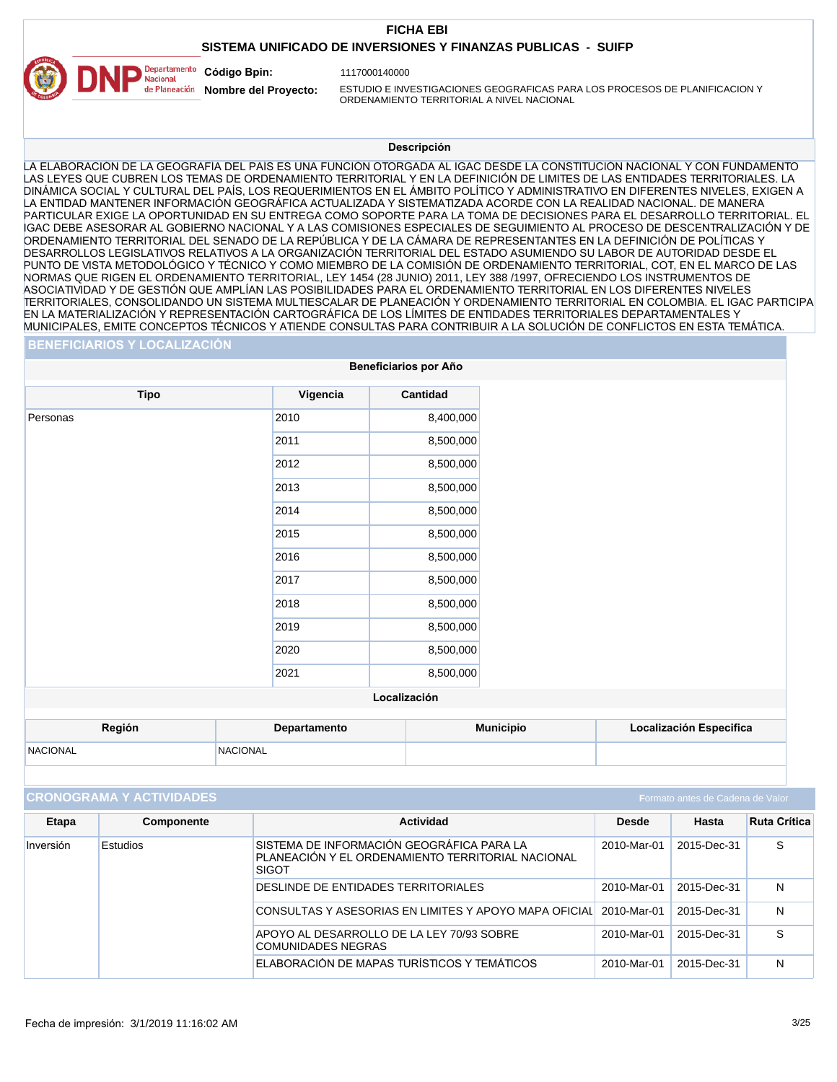## **SISTEMA UNIFICADO DE INVERSIONES Y FINANZAS PUBLICAS - SUIFP**



1117000140000

**Nombre del Proyecto:** 

ESTUDIO E INVESTIGACIONES GEOGRAFICAS PARA LOS PROCESOS DE PLANIFICACION Y ORDENAMIENTO TERRITORIAL A NIVEL NACIONAL

#### **Descripción**

LA ELABORACIÓN DE LA GEOGRAFÍA DEL PAÍS ES UNA FUNCIÓN OTORGADA AL IGAC DESDE LA CONSTITUCIÓN NACIONAL Y CON FUNDAMENTO LAS LEYES QUE CUBREN LOS TEMAS DE ORDENAMIENTO TERRITORIAL Y EN LA DEFINICIÓN DE LIMITES DE LAS ENTIDADES TERRITORIALES. LA DINÁMICA SOCIAL Y CULTURAL DEL PAÍS, LOS REQUERIMIENTOS EN EL ÁMBITO POLÍTICO Y ADMINISTRATIVO EN DIFERENTES NIVELES, EXIGEN A LA ENTIDAD MANTENER INFORMACIÓN GEOGRÁFICA ACTUALIZADA Y SISTEMATIZADA ACORDE CON LA REALIDAD NACIONAL. DE MANERA PARTICULAR EXIGE LA OPORTUNIDAD EN SU ENTREGA COMO SOPORTE PARA LA TOMA DE DECISIONES PARA EL DESARROLLO TERRITORIAL. EL IGAC DEBE ASESORAR AL GOBIERNO NACIONAL Y A LAS COMISIONES ESPECIALES DE SEGUIMIENTO AL PROCESO DE DESCENTRALIZACIÓN Y DE ORDENAMIENTO TERRITORIAL DEL SENADO DE LA REPÚBLICA Y DE LA CÁMARA DE REPRESENTANTES EN LA DEFINICIÓN DE POLÍTICAS Y DESARROLLOS LEGISLATIVOS RELATIVOS A LA ORGANIZACIÓN TERRITORIAL DEL ESTADO ASUMIENDO SU LABOR DE AUTORIDAD DESDE EL PUNTO DE VISTA METODOLÓGICO Y TÉCNICO Y COMO MIEMBRO DE LA COMISIÓN DE ORDENAMIENTO TERRITORIAL, COT, EN EL MARCO DE LAS NORMAS QUE RIGEN EL ORDENAMIENTO TERRITORIAL, LEY 1454 (28 JUNIO) 2011, LEY 388 /1997, OFRECIENDO LOS INSTRUMENTOS DE ASOCIATIVIDAD Y DE GESTIÓN QUE AMPLÍAN LAS POSIBILIDADES PARA EL ORDENAMIENTO TERRITORIAL EN LOS DIFERENTES NIVELES TERRITORIALES, CONSOLIDANDO UN SISTEMA MULTIESCALAR DE PLANEACIÓN Y ORDENAMIENTO TERRITORIAL EN COLOMBIA. EL IGAC PARTICIPA EN LA MATERIALIZACIÓN Y REPRESENTACIÓN CARTOGRÁFICA DE LOS LÍMITES DE ENTIDADES TERRITORIALES DEPARTAMENTALES Y MUNICIPALES, EMITE CONCEPTOS TÉCNICOS Y ATIENDE CONSULTAS PARA CONTRIBUIR A LA SOLUCIÓN DE CONFLICTOS EN ESTA TEMÁTICA.

#### **BENEFICIARIOS Y LOCALIZACIÓN**

|                 |                 | Beneficiarios por Año |  |  |  |  |  |
|-----------------|-----------------|-----------------------|--|--|--|--|--|
| <b>Tipo</b>     | Vigencia        | Cantidad              |  |  |  |  |  |
| Personas        | 2010            | 8,400,000             |  |  |  |  |  |
|                 | 2011            | 8,500,000             |  |  |  |  |  |
|                 | 2012            | 8,500,000             |  |  |  |  |  |
|                 | 2013            | 8,500,000             |  |  |  |  |  |
|                 | 2014            | 8,500,000             |  |  |  |  |  |
|                 | 2015            | 8,500,000             |  |  |  |  |  |
|                 | 2016            | 8,500,000             |  |  |  |  |  |
|                 | 2017            | 8,500,000             |  |  |  |  |  |
|                 | 2018            | 8,500,000             |  |  |  |  |  |
|                 | 2019            | 8,500,000             |  |  |  |  |  |
|                 | 2020            | 8,500,000             |  |  |  |  |  |
|                 | 2021            | 8,500,000             |  |  |  |  |  |
| Localización    |                 |                       |  |  |  |  |  |
| Región          | Departamento    | <b>Municipio</b>      |  |  |  |  |  |
| <b>NACIONAL</b> | <b>NACIONAL</b> |                       |  |  |  |  |  |
|                 |                 |                       |  |  |  |  |  |

| <b>CRONOGRAMA Y ACTIVIDADES</b><br>Formato antes de Cadena de Valor |            |                                                                                                                |              |             |                     |
|---------------------------------------------------------------------|------------|----------------------------------------------------------------------------------------------------------------|--------------|-------------|---------------------|
| Etapa                                                               | Componente | <b>Actividad</b>                                                                                               | <b>Desde</b> | Hasta       | <b>Ruta Crítica</b> |
| Inversión                                                           | Estudios   | SISTEMA DE INFORMACIÓN GEOGRÁFICA PARA LA<br>PLANEACIÓN Y EL ORDENAMIENTO TERRITORIAL NACIONAL<br><b>SIGOT</b> | 2010-Mar-01  | 2015-Dec-31 | S                   |
|                                                                     |            | DESLINDE DE ENTIDADES TERRITORIALES                                                                            | 2010-Mar-01  | 2015-Dec-31 | N                   |
|                                                                     |            | CONSULTAS Y ASESORIAS EN LIMITES Y APOYO MAPA OFICIAL                                                          | 2010-Mar-01  | 2015-Dec-31 | N                   |
|                                                                     |            | APOYO AL DESARROLLO DE LA LEY 70/93 SOBRE<br>COMUNIDADES NEGRAS                                                | 2010-Mar-01  | 2015-Dec-31 | S                   |
|                                                                     |            | ELABORACIÓN DE MAPAS TURÍSTICOS Y TEMÁTICOS                                                                    | 2010-Mar-01  | 2015-Dec-31 | N                   |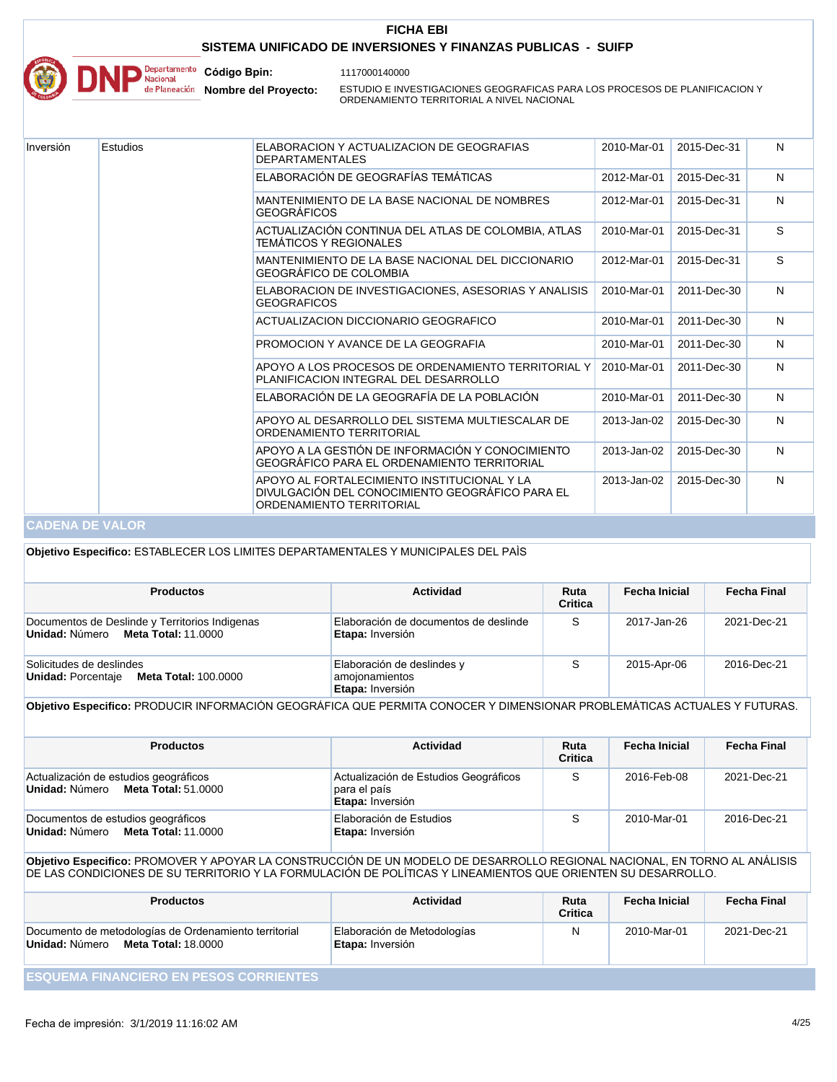

1117000140000

**Nombre del Proyecto:** 

ESTUDIO E INVESTIGACIONES GEOGRAFICAS PARA LOS PROCESOS DE PLANIFICACION Y ORDENAMIENTO TERRITORIAL A NIVEL NACIONAL

| Inversión | Estudios                                                                                        | ELABORACION Y ACTUALIZACION DE GEOGRAFIAS<br><b>DEPARTAMENTALES</b>                                                        | 2010-Mar-01 | 2015-Dec-31 | N |
|-----------|-------------------------------------------------------------------------------------------------|----------------------------------------------------------------------------------------------------------------------------|-------------|-------------|---|
|           |                                                                                                 | ELABORACIÓN DE GEOGRAFÍAS TEMÁTICAS                                                                                        | 2012-Mar-01 | 2015-Dec-31 | N |
|           |                                                                                                 | MANTENIMIENTO DE LA BASE NACIONAL DE NOMBRES<br><b>GEOGRÁFICOS</b>                                                         | 2012-Mar-01 | 2015-Dec-31 | N |
|           |                                                                                                 | ACTUALIZACIÓN CONTINUA DEL ATLAS DE COLOMBIA, ATLAS<br>TEMÁTICOS Y REGIONAI ES                                             | 2010-Mar-01 | 2015-Dec-31 | S |
|           |                                                                                                 | MANTENIMIENTO DE LA BASE NACIONAL DEL DICCIONARIO<br>GEOGRÁFICO DE COLOMBIA                                                | 2012-Mar-01 | 2015-Dec-31 | S |
|           |                                                                                                 | ELABORACION DE INVESTIGACIONES. ASESORIAS Y ANALISIS<br><b>GEOGRAFICOS</b>                                                 | 2010-Mar-01 | 2011-Dec-30 | N |
|           | ACTUALIZACION DICCIONARIO GEOGRAFICO                                                            | 2010-Mar-01                                                                                                                | 2011-Dec-30 | N           |   |
|           | PROMOCION Y AVANCE DE LA GEOGRAFIA                                                              | 2010-Mar-01                                                                                                                | 2011-Dec-30 | N           |   |
|           | APOYO A LOS PROCESOS DE ORDENAMIENTO TERRITORIAL Y<br>PLANIFICACION INTEGRAL DEL DESARROLLO     | 2010-Mar-01                                                                                                                | 2011-Dec-30 | N           |   |
|           |                                                                                                 | ELABORACIÓN DE LA GEOGRAFÍA DE LA POBLACIÓN                                                                                | 2010-Mar-01 | 2011-Dec-30 | N |
|           |                                                                                                 | APOYO AL DESARROLLO DEL SISTEMA MULTIESCALAR DE<br>ORDENAMIENTO TERRITORIAL                                                | 2013-Jan-02 | 2015-Dec-30 | N |
|           | APOYO A LA GESTIÓN DE INFORMACIÓN Y CONOCIMIENTO<br>GEOGRÁFICO PARA EL ORDENAMIENTO TERRITORIAL | 2013-Jan-02                                                                                                                | 2015-Dec-30 | N           |   |
|           |                                                                                                 | APOYO AL FORTALECIMIENTO INSTITUCIONAL Y LA<br>DIVULGACIÓN DEL CONOCIMIENTO GEOGRÁFICO PARA EL<br>ORDENAMIENTO TERRITORIAL | 2013-Jan-02 | 2015-Dec-30 | N |

#### **CADENA DE VALOR**

| Objetivo Especifico: ESTABLECER LOS LIMITES DEPARTAMENTALES Y MUNICIPALES DEL PAÍS             |                                                                  |                 |                      |                    |  |  |  |
|------------------------------------------------------------------------------------------------|------------------------------------------------------------------|-----------------|----------------------|--------------------|--|--|--|
| <b>Productos</b>                                                                               | Actividad                                                        | Ruta<br>Critica | <b>Fecha Inicial</b> | <b>Fecha Final</b> |  |  |  |
| Documentos de Deslinde y Territorios Indigenas<br><b>Meta Total: 11,0000</b><br>Unidad: Número | Elaboración de documentos de deslinde<br>Etapa: Inversión        | S               | 2017-Jan-26          | 2021-Dec-21        |  |  |  |
| Solicitudes de deslindes<br>Unidad: Porcentaje Meta Total: 100.0000                            | Elaboración de deslindes y<br>amojonamientos<br>Etapa: Inversión | S               | 2015-Apr-06          | 2016-Dec-21        |  |  |  |

**Objetivo Especifico:** PRODUCIR INFORMACIÓN GEOGRÁFICA QUE PERMITA CONOCER Y DIMENSIONAR PROBLEMÁTICAS ACTUALES Y FUTURAS.

| <b>Productos</b>                                                            | <b>Actividad</b>                                                          | Ruta<br><b>Critica</b> | Fecha Inicial | <b>Fecha Final</b> |
|-----------------------------------------------------------------------------|---------------------------------------------------------------------------|------------------------|---------------|--------------------|
| Actualización de estudios geográficos<br>Unidad: Número Meta Total: 51.0000 | Actualización de Estudios Geográficos<br>para el país<br>Etapa: Inversión |                        | 2016-Feb-08   | 2021-Dec-21        |
| Documentos de estudios geográficos<br>Unidad: Número Meta Total: 11.0000    | Elaboración de Estudios<br>Etapa: Inversión                               |                        | 2010-Mar-01   | 2016-Dec-21        |

#### **Objetivo Especifico:** PROMOVER Y APOYAR LA CONSTRUCCIÓN DE UN MODELO DE DESARROLLO REGIONAL NACIONAL, EN TORNO AL ANÁLISIS DE LAS CONDICIONES DE SU TERRITORIO Y LA FORMULACIÓN DE POLÍTICAS Y LINEAMIENTOS QUE ORIENTEN SU DESARROLLO.

| <b>Productos</b>                                                                                      | <b>Actividad</b>                                | Ruta<br>Critica | Fecha Inicial | <b>Fecha Final</b> |
|-------------------------------------------------------------------------------------------------------|-------------------------------------------------|-----------------|---------------|--------------------|
| Documento de metodologías de Ordenamiento territorial<br><b>Meta Total: 18,0000</b><br>Unidad: Número | Elaboración de Metodologías<br>Etapa: Inversión | N               | 2010-Mar-01   | 2021-Dec-21        |
| <b>I ESQUEMA FINANCIERO EN PESOS CORRIENTES</b>                                                       |                                                 |                 |               |                    |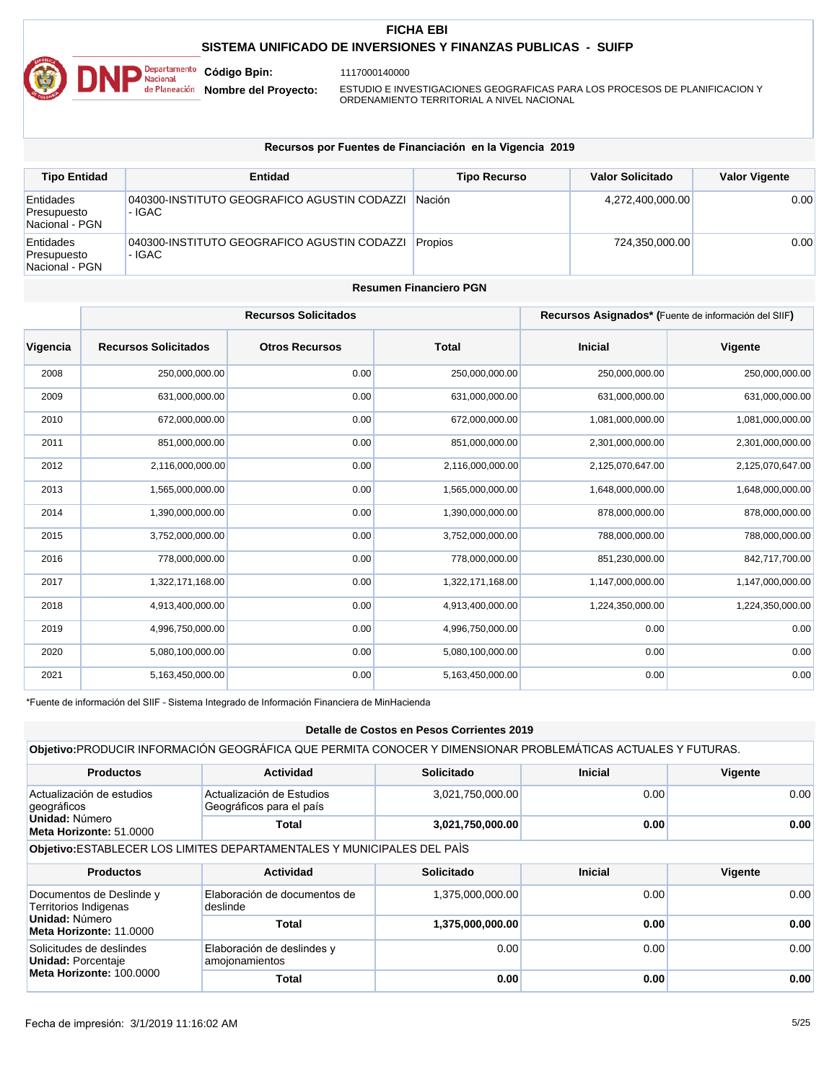

1117000140000

**Nombre del Proyecto:** 

**Código Bpin:**

ESTUDIO E INVESTIGACIONES GEOGRAFICAS PARA LOS PROCESOS DE PLANIFICACION Y ORDENAMIENTO TERRITORIAL A NIVEL NACIONAL

#### **Recursos por Fuentes de Financiación en la Vigencia 2019**

| <b>Tipo Entidad</b>                        | Entidad                                               | <b>Tipo Recurso</b> | Valor Solicitado | <b>Valor Vigente</b> |
|--------------------------------------------|-------------------------------------------------------|---------------------|------------------|----------------------|
| Entidades<br>Presupuesto<br>Nacional - PGN | 040300-INSTITUTO GEOGRAFICO AGUSTIN CODAZZI<br>- IGAC | <b>Nación</b>       | 4,272,400,000.00 | 0.00                 |
| Entidades<br>Presupuesto<br>Nacional - PGN | 040300-INSTITUTO GEOGRAFICO AGUSTIN CODAZZI<br>- IGAC | <b>Propios</b>      | 724,350,000.00   | 0.00                 |

#### **Resumen Financiero PGN**

|          | <b>Recursos Solicitados</b><br>Recursos Asignados* (Fuente de información del SIIF) |                       |                  |                  |                  |
|----------|-------------------------------------------------------------------------------------|-----------------------|------------------|------------------|------------------|
| Vigencia | <b>Recursos Solicitados</b>                                                         | <b>Otros Recursos</b> | <b>Total</b>     | <b>Inicial</b>   | Vigente          |
| 2008     | 250,000,000.00                                                                      | 0.00                  | 250,000,000.00   | 250,000,000.00   | 250,000,000.00   |
| 2009     | 631,000,000.00                                                                      | 0.00                  | 631,000,000.00   | 631,000,000.00   | 631,000,000.00   |
| 2010     | 672,000,000.00                                                                      | 0.00                  | 672,000,000.00   | 1,081,000,000.00 | 1,081,000,000.00 |
| 2011     | 851,000,000.00                                                                      | 0.00                  | 851,000,000.00   | 2,301,000,000.00 | 2,301,000,000.00 |
| 2012     | 2,116,000,000.00                                                                    | 0.00                  | 2,116,000,000.00 | 2,125,070,647.00 | 2,125,070,647.00 |
| 2013     | 1,565,000,000.00                                                                    | 0.00                  | 1,565,000,000.00 | 1,648,000,000.00 | 1,648,000,000.00 |
| 2014     | 1,390,000,000.00                                                                    | 0.00                  | 1,390,000,000.00 | 878,000,000.00   | 878,000,000.00   |
| 2015     | 3,752,000,000.00                                                                    | 0.00                  | 3,752,000,000.00 | 788,000,000.00   | 788,000,000.00   |
| 2016     | 778,000,000.00                                                                      | 0.00                  | 778,000,000.00   | 851,230,000.00   | 842,717,700.00   |
| 2017     | 1,322,171,168.00                                                                    | 0.00                  | 1,322,171,168.00 | 1,147,000,000.00 | 1,147,000,000.00 |
| 2018     | 4,913,400,000.00                                                                    | 0.00                  | 4,913,400,000.00 | 1,224,350,000.00 | 1,224,350,000.00 |
| 2019     | 4,996,750,000.00                                                                    | 0.00                  | 4,996,750,000.00 | 0.00             | 0.00             |
| 2020     | 5,080,100,000.00                                                                    | 0.00                  | 5,080,100,000.00 | 0.00             | 0.00             |
| 2021     | 5,163,450,000.00                                                                    | 0.00                  | 5,163,450,000.00 | 0.00             | 0.00             |

\*Fuente de información del SIIF – Sistema Integrado de Información Financiera de MinHacienda

#### **Detalle de Costos en Pesos Corrientes 2019**

|                                                                                       | Objetivo: PRODUCIR INFORMACIÓN GEOGRÁFICA QUE PERMITA CONOCER Y DIMENSIONAR PROBLEMÁTICAS ACTUALES Y FUTURAS. |                  |                |         |
|---------------------------------------------------------------------------------------|---------------------------------------------------------------------------------------------------------------|------------------|----------------|---------|
| <b>Productos</b>                                                                      | <b>Actividad</b>                                                                                              | Solicitado       | <b>Inicial</b> | Vigente |
| Actualización de estudios<br>geográficos<br>Unidad: Número<br>Meta Horizonte: 51,0000 | Actualización de Estudios<br>Geográficos para el país                                                         | 3,021,750,000.00 | 0.00           | 0.00    |
|                                                                                       | Total                                                                                                         | 3,021,750,000.00 | 0.00           | 0.00    |
|                                                                                       | Objetivo: ESTABLECER LOS LIMITES DEPARTAMENTALES Y MUNICIPALES DEL PAÍS                                       |                  |                |         |
| <b>Productos</b>                                                                      | <b>Actividad</b>                                                                                              | Solicitado       | <b>Inicial</b> | Vigente |
| Documentos de Deslinde y<br>Territorios Indigenas                                     | Elaboración de documentos de<br>deslinde                                                                      | 1,375,000,000.00 | 0.00           | 0.00    |
| Unidad: Número<br>Meta Horizonte: 11.0000                                             | Total                                                                                                         |                  |                | 0.00    |
|                                                                                       |                                                                                                               | 1,375,000,000.00 | 0.00           |         |
| Solicitudes de deslindes<br>Unidad: Porcentaje<br>Meta Horizonte: 100.0000            | Elaboración de deslindes y<br>amojonamientos                                                                  | 0.00             | 0.00           | 0.00    |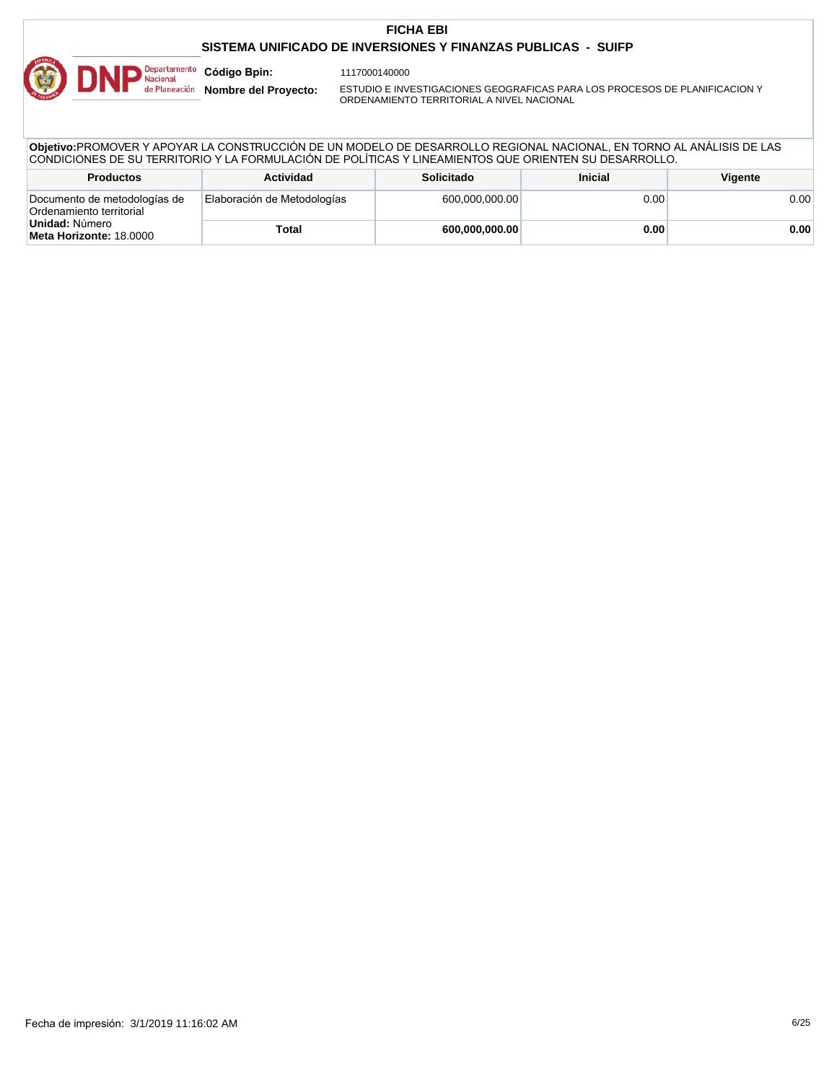

1117000140000

**Nombre del Proyecto:** 

ESTUDIO E INVESTIGACIONES GEOGRAFICAS PARA LOS PROCESOS DE PLANIFICACION Y ORDENAMIENTO TERRITORIAL A NIVEL NACIONAL

**Objetivo:**PROMOVER Y APOYAR LA CONSTRUCCIÓN DE UN MODELO DE DESARROLLO REGIONAL NACIONAL, EN TORNO AL ANÁLISIS DE LAS CONDICIONES DE SU TERRITORIO Y LA FORMULACIÓN DE POLÍTICAS Y LINEAMIENTOS QUE ORIENTEN SU DESARROLLO.

| <b>Productos</b>                                         | <b>Actividad</b>            | <b>Solicitado</b> | <b>Inicial</b> | Viaente           |
|----------------------------------------------------------|-----------------------------|-------------------|----------------|-------------------|
| Documento de metodologías de<br>Ordenamiento territorial | Elaboración de Metodologías | 600.000.000.00    | $0.00\vert$    | 0.00 <sub>l</sub> |
| Unidad: Número<br>Meta Horizonte: 18,0000                | Total                       | 600.000.000.00    | 0.00           | 0.00              |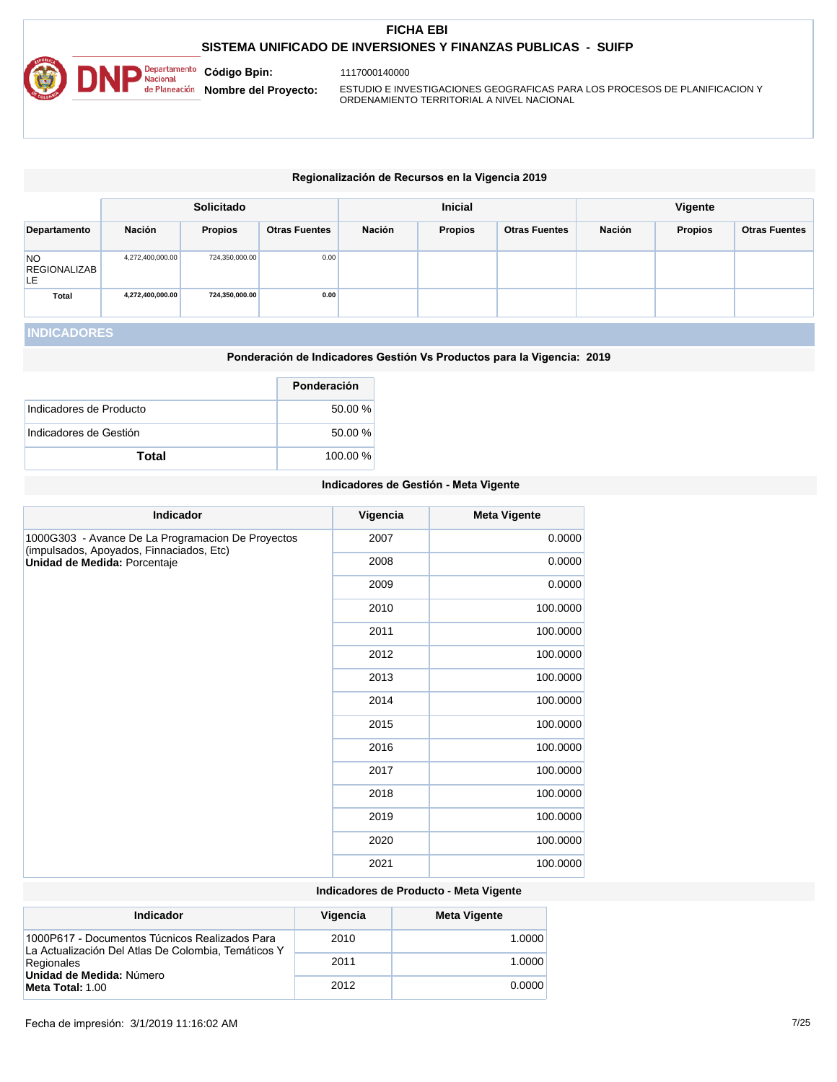

1117000140000

**Nombre del Proyecto:** 

**Código Bpin:**

ESTUDIO E INVESTIGACIONES GEOGRAFICAS PARA LOS PROCESOS DE PLANIFICACION Y ORDENAMIENTO TERRITORIAL A NIVEL NACIONAL

#### **Regionalización de Recursos en la Vigencia 2019**

|                                              | <b>Solicitado</b> |                | <b>Inicial</b>       |        |                | Vigente              |        |                |                      |
|----------------------------------------------|-------------------|----------------|----------------------|--------|----------------|----------------------|--------|----------------|----------------------|
| Departamento                                 | Nación            | <b>Propios</b> | <b>Otras Fuentes</b> | Nación | <b>Propios</b> | <b>Otras Fuentes</b> | Nación | <b>Propios</b> | <b>Otras Fuentes</b> |
| NO <sub>1</sub><br><b>REGIONALIZAB</b><br>LE | 4,272,400,000.00  | 724,350,000.00 | 0.00                 |        |                |                      |        |                |                      |
| Total                                        | 4,272,400,000.00  | 724,350,000.00 | 0.00                 |        |                |                      |        |                |                      |

## **INDICADORES**

**Ponderación de Indicadores Gestión Vs Productos para la Vigencia: 2019**

|                         | Ponderación |
|-------------------------|-------------|
| Indicadores de Producto | 50.00 %     |
| Indicadores de Gestión  | 50.00 %     |
| Total                   | 100.00 %    |

#### **Indicadores de Gestión - Meta Vigente**

| 1000G303 - Avance De La Programacion De Proyectos<br>2007<br>(impulsados, Apoyados, Finnaciados, Etc)<br>2008<br>Unidad de Medida: Porcentaje<br>2009<br>2010<br>2011<br>2012<br>2013<br>2014<br>2015<br>2016<br>2017<br>2018 | <b>Indicador</b> | Vigencia | <b>Meta Vigente</b> |
|-------------------------------------------------------------------------------------------------------------------------------------------------------------------------------------------------------------------------------|------------------|----------|---------------------|
|                                                                                                                                                                                                                               |                  |          | 0.0000              |
|                                                                                                                                                                                                                               |                  |          | 0.0000              |
|                                                                                                                                                                                                                               |                  |          | 0.0000              |
|                                                                                                                                                                                                                               |                  |          | 100.0000            |
|                                                                                                                                                                                                                               |                  |          | 100.0000            |
|                                                                                                                                                                                                                               |                  |          | 100.0000            |
|                                                                                                                                                                                                                               |                  |          | 100.0000            |
|                                                                                                                                                                                                                               |                  |          | 100.0000            |
|                                                                                                                                                                                                                               |                  |          | 100.0000            |
|                                                                                                                                                                                                                               |                  |          | 100.0000            |
|                                                                                                                                                                                                                               |                  |          | 100.0000            |
|                                                                                                                                                                                                                               |                  |          | 100.0000            |
|                                                                                                                                                                                                                               |                  | 2019     | 100.0000            |
| 2020                                                                                                                                                                                                                          |                  |          | 100.0000            |
| 2021                                                                                                                                                                                                                          |                  |          | 100.0000            |

**Indicadores de Producto - Meta Vigente**

| <b>Indicador</b>                                                                                      | Vigencia | <b>Meta Vigente</b> |
|-------------------------------------------------------------------------------------------------------|----------|---------------------|
| 1000P617 - Documentos Túcnicos Realizados Para<br>La Actualización Del Atlas De Colombia, Temáticos Y | 2010     | 1.0000              |
| Regionales<br>Unidad de Medida: Número<br>Meta Total: 1.00                                            | 2011     | 1.0000              |
|                                                                                                       | 2012     | 0.0000              |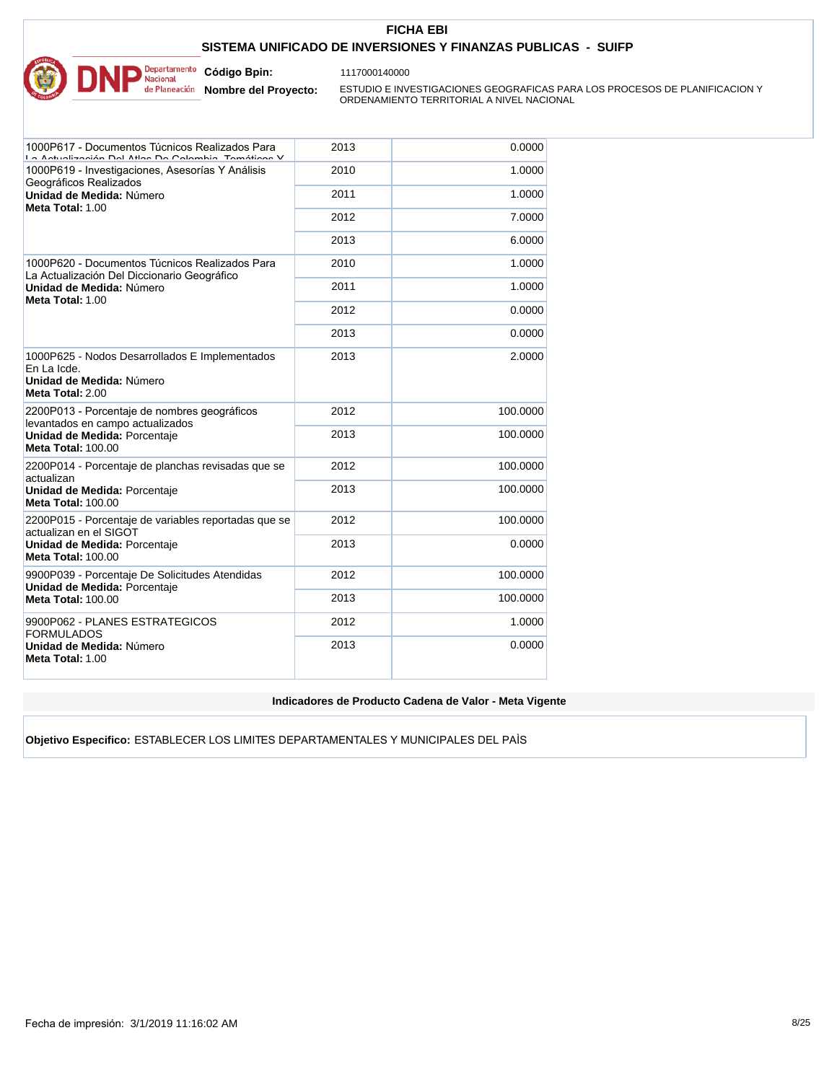

1117000140000

**Nombre del Proyecto:** 

ESTUDIO E INVESTIGACIONES GEOGRAFICAS PARA LOS PROCESOS DE PLANIFICACION Y ORDENAMIENTO TERRITORIAL A NIVEL NACIONAL

| 1000P617 - Documentos Túcnicos Realizados Para<br>Lo Antualización Del Atlan De Calembia, Temáticas V         | 2013 | 0.0000   |
|---------------------------------------------------------------------------------------------------------------|------|----------|
| 1000P619 - Investigaciones, Asesorías Y Análisis<br>Geográficos Realizados                                    | 2010 | 1.0000   |
| Unidad de Medida: Número                                                                                      | 2011 | 1.0000   |
| Meta Total: 1.00                                                                                              | 2012 | 7.0000   |
|                                                                                                               | 2013 | 6.0000   |
| 1000P620 - Documentos Túcnicos Realizados Para                                                                | 2010 | 1.0000   |
| La Actualización Del Diccionario Geográfico<br>Unidad de Medida: Número                                       | 2011 | 1.0000   |
| Meta Total: 1.00                                                                                              | 2012 | 0.0000   |
|                                                                                                               | 2013 | 0.0000   |
| 1000P625 - Nodos Desarrollados E Implementados<br>En La Icde.<br>Unidad de Medida: Número<br>Meta Total: 2.00 | 2013 | 2.0000   |
| 2200P013 - Porcentaje de nombres geográficos<br>levantados en campo actualizados                              | 2012 | 100.0000 |
| Unidad de Medida: Porcentaje<br><b>Meta Total: 100.00</b>                                                     | 2013 | 100.0000 |
| 2200P014 - Porcentaje de planchas revisadas que se<br>actualizan                                              | 2012 | 100.0000 |
| Unidad de Medida: Porcentaje<br><b>Meta Total: 100.00</b>                                                     | 2013 | 100.0000 |
| 2200P015 - Porcentaje de variables reportadas que se<br>actualizan en el SIGOT                                | 2012 | 100.0000 |
| Unidad de Medida: Porcentaje<br><b>Meta Total: 100.00</b>                                                     | 2013 | 0.0000   |
| 9900P039 - Porcentaje De Solicitudes Atendidas<br>Unidad de Medida: Porcentaje                                | 2012 | 100.0000 |
| <b>Meta Total: 100.00</b>                                                                                     | 2013 | 100.0000 |
| 9900P062 - PLANES ESTRATEGICOS<br><b>FORMULADOS</b>                                                           | 2012 | 1.0000   |
| Unidad de Medida: Número<br>Meta Total: 1.00                                                                  | 2013 | 0.0000   |
|                                                                                                               |      |          |

**Indicadores de Producto Cadena de Valor - Meta Vigente**

**Objetivo Especifico:** ESTABLECER LOS LIMITES DEPARTAMENTALES Y MUNICIPALES DEL PAÌS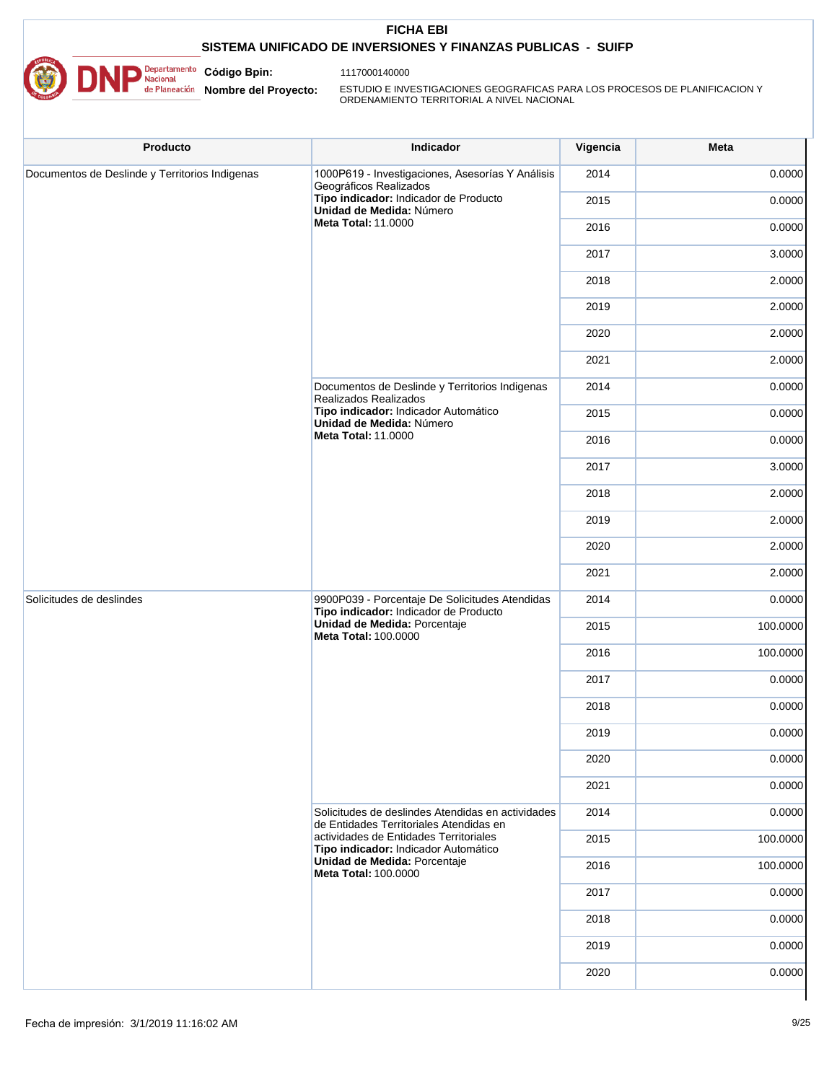

**Código Bpin:**

1117000140000

**Nombre del Proyecto:** 

ESTUDIO E INVESTIGACIONES GEOGRAFICAS PARA LOS PROCESOS DE PLANIFICACION Y ORDENAMIENTO TERRITORIAL A NIVEL NACIONAL

| Producto                                       | Indicador                                                                                                                                              | Vigencia | Meta     |
|------------------------------------------------|--------------------------------------------------------------------------------------------------------------------------------------------------------|----------|----------|
| Documentos de Deslinde y Territorios Indigenas | 1000P619 - Investigaciones, Asesorías Y Análisis<br>Geográficos Realizados                                                                             | 2014     | 0.0000   |
|                                                | Tipo indicador: Indicador de Producto<br>Unidad de Medida: Número                                                                                      | 2015     | 0.0000   |
|                                                | <b>Meta Total: 11,0000</b>                                                                                                                             | 2016     | 0.0000   |
|                                                |                                                                                                                                                        | 2017     | 3.0000   |
|                                                |                                                                                                                                                        | 2018     | 2.0000   |
|                                                |                                                                                                                                                        | 2019     | 2.0000   |
|                                                |                                                                                                                                                        | 2020     | 2.0000   |
|                                                |                                                                                                                                                        | 2021     | 2.0000   |
|                                                | Documentos de Deslinde y Territorios Indigenas<br>Realizados Realizados                                                                                | 2014     | 0.0000   |
|                                                | Tipo indicador: Indicador Automático<br>Unidad de Medida: Número                                                                                       | 2015     | 0.0000   |
|                                                | <b>Meta Total: 11.0000</b>                                                                                                                             | 2016     | 0.0000   |
|                                                |                                                                                                                                                        | 2017     | 3.0000   |
|                                                |                                                                                                                                                        | 2018     | 2.0000   |
|                                                |                                                                                                                                                        | 2019     | 2.0000   |
|                                                |                                                                                                                                                        | 2020     | 2.0000   |
|                                                |                                                                                                                                                        | 2021     | 2.0000   |
| Solicitudes de deslindes                       | 9900P039 - Porcentaje De Solicitudes Atendidas<br>Tipo indicador: Indicador de Producto<br>Unidad de Medida: Porcentaje<br><b>Meta Total: 100.0000</b> | 2014     | 0.0000   |
|                                                |                                                                                                                                                        | 2015     | 100.0000 |
|                                                |                                                                                                                                                        | 2016     | 100.0000 |
|                                                |                                                                                                                                                        | 2017     | 0.0000   |
|                                                |                                                                                                                                                        | 2018     | 0.0000   |
|                                                |                                                                                                                                                        | 2019     | 0.0000   |
|                                                |                                                                                                                                                        | 2020     | 0.0000   |
|                                                |                                                                                                                                                        | 2021     | 0.0000   |
|                                                | Solicitudes de deslindes Atendidas en actividades<br>de Entidades Territoriales Atendidas en                                                           | 2014     | 0.0000   |
|                                                | actividades de Entidades Territoriales<br>Tipo indicador: Indicador Automático                                                                         | 2015     | 100.0000 |
|                                                | Unidad de Medida: Porcentaje<br><b>Meta Total: 100.0000</b>                                                                                            | 2016     | 100.0000 |
|                                                |                                                                                                                                                        | 2017     | 0.0000   |
|                                                |                                                                                                                                                        | 2018     | 0.0000   |
|                                                |                                                                                                                                                        | 2019     | 0.0000   |
|                                                |                                                                                                                                                        | 2020     | 0.0000   |
|                                                |                                                                                                                                                        |          |          |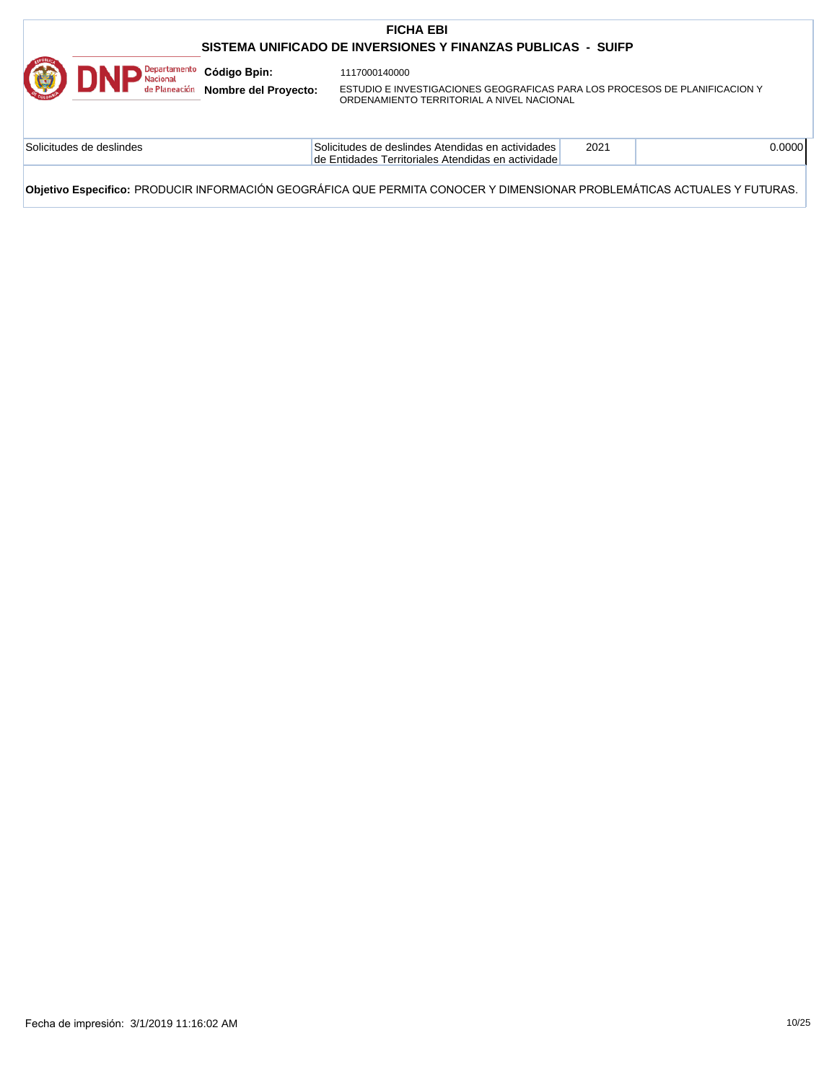|                                        |                             | <b>FICHA EBI</b><br>SISTEMA UNIFICADO DE INVERSIONES Y FINANZAS PUBLICAS - SUIFP                                        |      |        |
|----------------------------------------|-----------------------------|-------------------------------------------------------------------------------------------------------------------------|------|--------|
| <b>Departamento</b><br><b>Nacional</b> | Código Bpin:                | 1117000140000                                                                                                           |      |        |
| de Planeación                          | <b>Nombre del Proyecto:</b> | ESTUDIO E INVESTIGACIONES GEOGRAFICAS PARA LOS PROCESOS DE PLANIFICACION Y<br>ORDENAMIENTO TERRITORIAL A NIVEL NACIONAL |      |        |
| Solicitudes de deslindes               |                             | Solicitudes de deslindes Atendidas en actividades<br>de Entidades Territoriales Atendidas en actividade                 | 2021 | 0.0000 |
|                                        |                             |                                                                                                                         |      |        |

**Objetivo Especifico:** PRODUCIR INFORMACIÓN GEOGRÁFICA QUE PERMITA CONOCER Y DIMENSIONAR PROBLEMÁTICAS ACTUALES Y FUTURAS.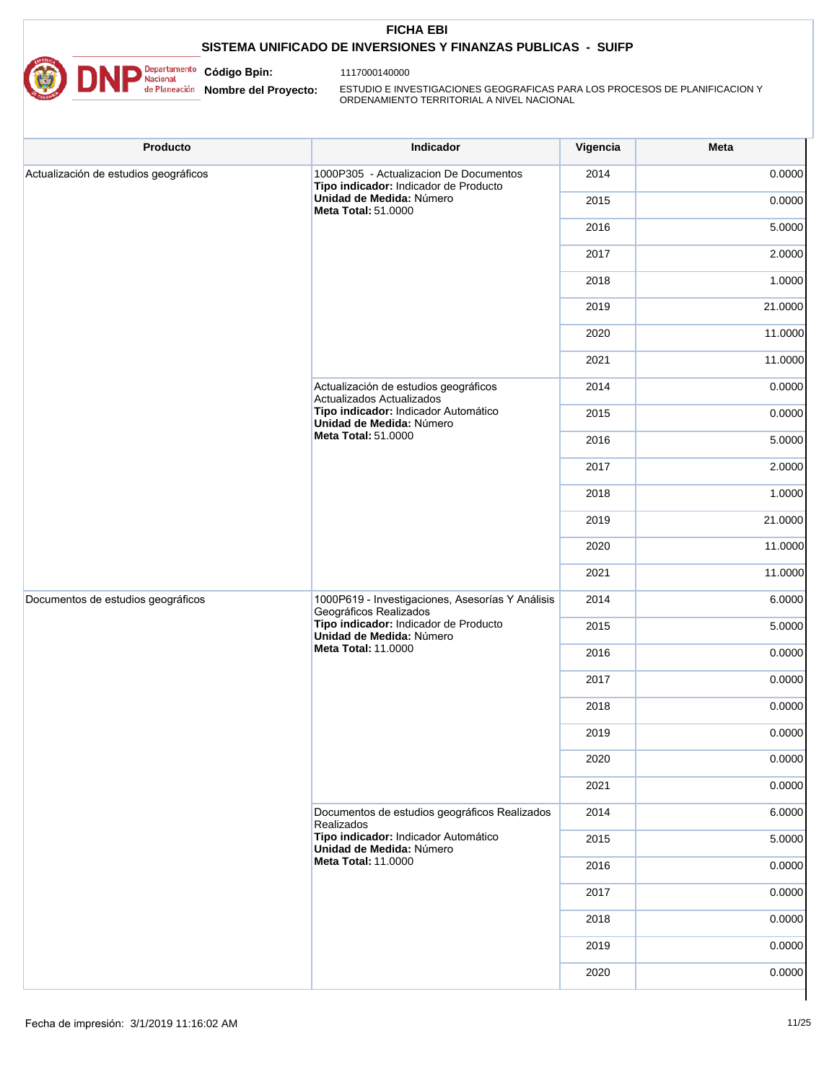

1117000140000 **Código Bpin:**

**Nombre del Proyecto:** 

ESTUDIO E INVESTIGACIONES GEOGRAFICAS PARA LOS PROCESOS DE PLANIFICACION Y ORDENAMIENTO TERRITORIAL A NIVEL NACIONAL

| 1000P305 - Actualizacion De Documentos<br>Actualización de estudios geográficos<br>2014<br>Tipo indicador: Indicador de Producto<br>Unidad de Medida: Número<br>2015<br><b>Meta Total: 51.0000</b><br>2016<br>2017<br>2018<br>2019<br>2020<br>2021<br>Actualización de estudios geográficos<br>2014<br>Actualizados Actualizados<br>Tipo indicador: Indicador Automático<br>2015<br>Unidad de Medida: Número<br><b>Meta Total: 51.0000</b><br>2016<br>2017<br>2018<br>2019<br>2020<br>2021<br>1000P619 - Investigaciones, Asesorías Y Análisis<br>Documentos de estudios geográficos<br>2014<br>Geográficos Realizados<br>Tipo indicador: Indicador de Producto<br>2015<br>Unidad de Medida: Número<br><b>Meta Total: 11.0000</b><br>2016<br>2017<br>2018<br>2019<br>2020<br>2021<br>Documentos de estudios geográficos Realizados<br>2014<br>Realizados<br>Tipo indicador: Indicador Automático<br>2015<br>Unidad de Medida: Número<br><b>Meta Total: 11,0000</b> | Producto | Indicador | Vigencia | Meta    |
|--------------------------------------------------------------------------------------------------------------------------------------------------------------------------------------------------------------------------------------------------------------------------------------------------------------------------------------------------------------------------------------------------------------------------------------------------------------------------------------------------------------------------------------------------------------------------------------------------------------------------------------------------------------------------------------------------------------------------------------------------------------------------------------------------------------------------------------------------------------------------------------------------------------------------------------------------------------------|----------|-----------|----------|---------|
|                                                                                                                                                                                                                                                                                                                                                                                                                                                                                                                                                                                                                                                                                                                                                                                                                                                                                                                                                                    |          |           |          | 0.0000  |
|                                                                                                                                                                                                                                                                                                                                                                                                                                                                                                                                                                                                                                                                                                                                                                                                                                                                                                                                                                    |          |           |          | 0.0000  |
|                                                                                                                                                                                                                                                                                                                                                                                                                                                                                                                                                                                                                                                                                                                                                                                                                                                                                                                                                                    |          |           |          | 5.0000  |
|                                                                                                                                                                                                                                                                                                                                                                                                                                                                                                                                                                                                                                                                                                                                                                                                                                                                                                                                                                    |          |           |          | 2.0000  |
|                                                                                                                                                                                                                                                                                                                                                                                                                                                                                                                                                                                                                                                                                                                                                                                                                                                                                                                                                                    |          |           |          | 1.0000  |
|                                                                                                                                                                                                                                                                                                                                                                                                                                                                                                                                                                                                                                                                                                                                                                                                                                                                                                                                                                    |          |           |          | 21.0000 |
|                                                                                                                                                                                                                                                                                                                                                                                                                                                                                                                                                                                                                                                                                                                                                                                                                                                                                                                                                                    |          |           |          | 11.0000 |
|                                                                                                                                                                                                                                                                                                                                                                                                                                                                                                                                                                                                                                                                                                                                                                                                                                                                                                                                                                    |          |           |          | 11.0000 |
|                                                                                                                                                                                                                                                                                                                                                                                                                                                                                                                                                                                                                                                                                                                                                                                                                                                                                                                                                                    |          |           |          | 0.0000  |
|                                                                                                                                                                                                                                                                                                                                                                                                                                                                                                                                                                                                                                                                                                                                                                                                                                                                                                                                                                    |          |           |          | 0.0000  |
|                                                                                                                                                                                                                                                                                                                                                                                                                                                                                                                                                                                                                                                                                                                                                                                                                                                                                                                                                                    |          |           |          | 5.0000  |
|                                                                                                                                                                                                                                                                                                                                                                                                                                                                                                                                                                                                                                                                                                                                                                                                                                                                                                                                                                    |          |           |          | 2.0000  |
|                                                                                                                                                                                                                                                                                                                                                                                                                                                                                                                                                                                                                                                                                                                                                                                                                                                                                                                                                                    |          |           |          | 1.0000  |
|                                                                                                                                                                                                                                                                                                                                                                                                                                                                                                                                                                                                                                                                                                                                                                                                                                                                                                                                                                    |          |           |          | 21.0000 |
|                                                                                                                                                                                                                                                                                                                                                                                                                                                                                                                                                                                                                                                                                                                                                                                                                                                                                                                                                                    |          |           |          | 11.0000 |
|                                                                                                                                                                                                                                                                                                                                                                                                                                                                                                                                                                                                                                                                                                                                                                                                                                                                                                                                                                    |          |           |          | 11.0000 |
|                                                                                                                                                                                                                                                                                                                                                                                                                                                                                                                                                                                                                                                                                                                                                                                                                                                                                                                                                                    |          |           |          | 6.0000  |
|                                                                                                                                                                                                                                                                                                                                                                                                                                                                                                                                                                                                                                                                                                                                                                                                                                                                                                                                                                    |          |           |          | 5.0000  |
|                                                                                                                                                                                                                                                                                                                                                                                                                                                                                                                                                                                                                                                                                                                                                                                                                                                                                                                                                                    |          |           |          | 0.0000  |
|                                                                                                                                                                                                                                                                                                                                                                                                                                                                                                                                                                                                                                                                                                                                                                                                                                                                                                                                                                    |          |           |          | 0.0000  |
|                                                                                                                                                                                                                                                                                                                                                                                                                                                                                                                                                                                                                                                                                                                                                                                                                                                                                                                                                                    |          |           |          | 0.0000  |
|                                                                                                                                                                                                                                                                                                                                                                                                                                                                                                                                                                                                                                                                                                                                                                                                                                                                                                                                                                    |          |           |          | 0.0000  |
|                                                                                                                                                                                                                                                                                                                                                                                                                                                                                                                                                                                                                                                                                                                                                                                                                                                                                                                                                                    |          |           |          | 0.0000  |
|                                                                                                                                                                                                                                                                                                                                                                                                                                                                                                                                                                                                                                                                                                                                                                                                                                                                                                                                                                    |          |           |          | 0.0000  |
|                                                                                                                                                                                                                                                                                                                                                                                                                                                                                                                                                                                                                                                                                                                                                                                                                                                                                                                                                                    |          |           |          | 6.0000  |
|                                                                                                                                                                                                                                                                                                                                                                                                                                                                                                                                                                                                                                                                                                                                                                                                                                                                                                                                                                    |          |           |          | 5.0000  |
|                                                                                                                                                                                                                                                                                                                                                                                                                                                                                                                                                                                                                                                                                                                                                                                                                                                                                                                                                                    |          |           | 2016     | 0.0000  |
| 2017                                                                                                                                                                                                                                                                                                                                                                                                                                                                                                                                                                                                                                                                                                                                                                                                                                                                                                                                                               |          |           |          | 0.0000  |
| 2018                                                                                                                                                                                                                                                                                                                                                                                                                                                                                                                                                                                                                                                                                                                                                                                                                                                                                                                                                               |          |           |          | 0.0000  |
| 2019                                                                                                                                                                                                                                                                                                                                                                                                                                                                                                                                                                                                                                                                                                                                                                                                                                                                                                                                                               |          |           |          | 0.0000  |
| 2020                                                                                                                                                                                                                                                                                                                                                                                                                                                                                                                                                                                                                                                                                                                                                                                                                                                                                                                                                               |          |           |          | 0.0000  |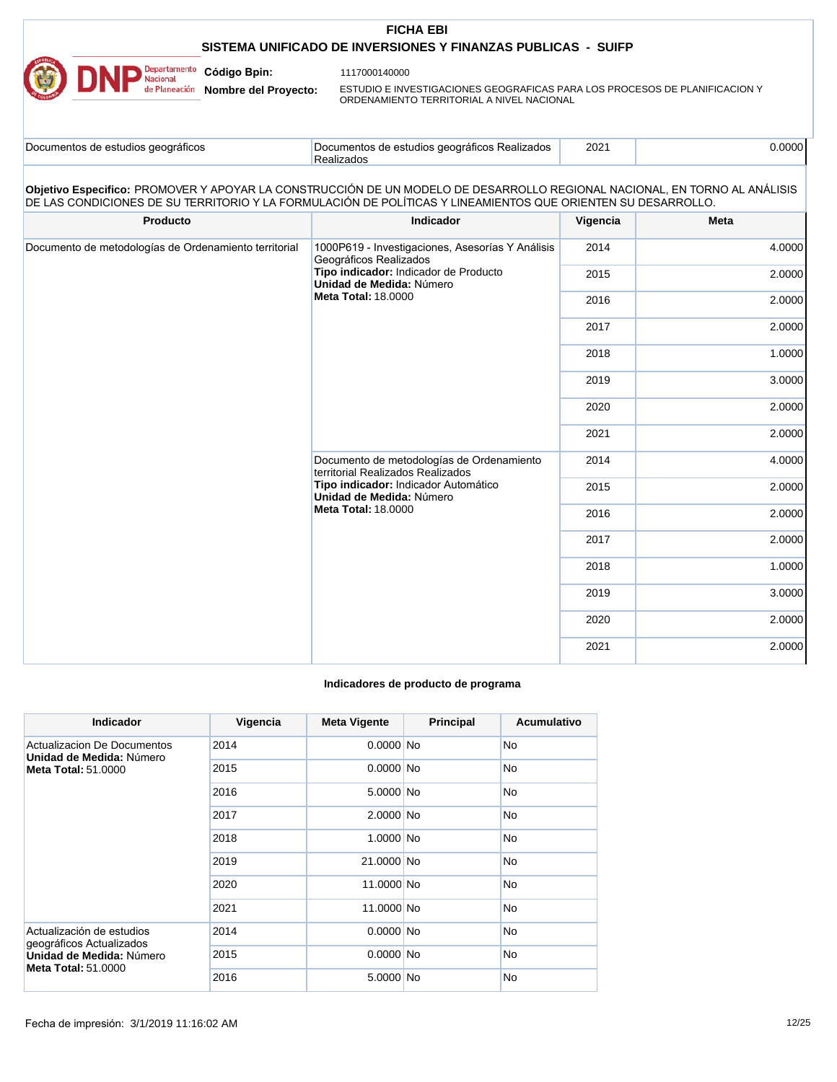|                                                                                                                                                                                                                                           | <b>FICHA EBI</b>                                                                                                        |          |             |
|-------------------------------------------------------------------------------------------------------------------------------------------------------------------------------------------------------------------------------------------|-------------------------------------------------------------------------------------------------------------------------|----------|-------------|
|                                                                                                                                                                                                                                           | SISTEMA UNIFICADO DE INVERSIONES Y FINANZAS PUBLICAS - SUIFP                                                            |          |             |
| Departamento<br>Código Bpin:<br>Vacional                                                                                                                                                                                                  | 1117000140000                                                                                                           |          |             |
| de Planeación<br>Nombre del Proyecto:                                                                                                                                                                                                     | ESTUDIO E INVESTIGACIONES GEOGRAFICAS PARA LOS PROCESOS DE PLANIFICACION Y<br>ORDENAMIENTO TERRITORIAL A NIVEL NACIONAL |          |             |
| Documentos de estudios geográficos                                                                                                                                                                                                        | Documentos de estudios geográficos Realizados<br>Realizados                                                             | 2021     | 0.0000      |
| Objetivo Especifico: PROMOVER Y APOYAR LA CONSTRUCCIÓN DE UN MODELO DE DESARROLLO REGIONAL NACIONAL, EN TORNO AL ANÁLISIS<br>DE LAS CONDICIONES DE SU TERRITORIO Y LA FORMULACIÓN DE POLÍTICAS Y LINEAMIENTOS QUE ORIENTEN SU DESARROLLO. |                                                                                                                         |          |             |
| Producto                                                                                                                                                                                                                                  | <b>Indicador</b>                                                                                                        | Vigencia | <b>Meta</b> |
| Documento de metodologías de Ordenamiento territorial                                                                                                                                                                                     | 1000P619 - Investigaciones, Asesorías Y Análisis<br>Geográficos Realizados                                              | 2014     | 4.0000      |
|                                                                                                                                                                                                                                           | Tipo indicador: Indicador de Producto<br>Unidad de Medida: Número<br><b>Meta Total: 18,0000</b>                         | 2015     | 2.0000      |
|                                                                                                                                                                                                                                           |                                                                                                                         | 2016     | 2.0000      |
|                                                                                                                                                                                                                                           |                                                                                                                         | 2017     | 2.0000      |
|                                                                                                                                                                                                                                           |                                                                                                                         | 2018     | 1.0000      |
|                                                                                                                                                                                                                                           |                                                                                                                         | 2019     | 3.0000      |
|                                                                                                                                                                                                                                           |                                                                                                                         | 2020     | 2.0000      |
|                                                                                                                                                                                                                                           |                                                                                                                         | 2021     | 2.0000      |
|                                                                                                                                                                                                                                           | Documento de metodologías de Ordenamiento<br>territorial Realizados Realizados                                          | 2014     | 4.0000      |
|                                                                                                                                                                                                                                           | Tipo indicador: Indicador Automático<br>Unidad de Medida: Número                                                        | 2015     | 2.0000      |
|                                                                                                                                                                                                                                           | <b>Meta Total: 18,0000</b>                                                                                              | 2016     | 2.0000      |
|                                                                                                                                                                                                                                           |                                                                                                                         | 2017     | 2.0000      |
|                                                                                                                                                                                                                                           |                                                                                                                         | 2018     | 1.0000      |
|                                                                                                                                                                                                                                           |                                                                                                                         | 2019     | 3.0000      |
|                                                                                                                                                                                                                                           |                                                                                                                         | 2020     | 2.0000      |
|                                                                                                                                                                                                                                           |                                                                                                                         | 2021     | 2.0000      |

### **Indicadores de producto de programa**

| Indicador                                                                         | Vigencia | <b>Meta Vigente</b> | Principal | Acumulativo |
|-----------------------------------------------------------------------------------|----------|---------------------|-----------|-------------|
| Actualizacion De Documentos<br>Unidad de Medida: Número                           | 2014     | $0.0000N$ o         |           | No          |
| <b>Meta Total: 51,0000</b>                                                        | 2015     | $0.0000$ No         |           | No          |
|                                                                                   | 2016     | 5.0000 No           |           | No          |
|                                                                                   | 2017     | 2.0000 No           |           | No          |
|                                                                                   | 2018     | 1.0000 No           |           | No          |
|                                                                                   | 2019     | 21.0000 No          |           | No          |
|                                                                                   | 2020     | 11.0000 No          |           | No          |
|                                                                                   | 2021     | 11.0000 No          |           | No          |
| Actualización de estudios<br>geográficos Actualizados<br>Unidad de Medida: Número | 2014     | $0.0000$ No         |           | No          |
|                                                                                   | 2015     | $0.0000$ No         |           | No          |
| <b>Meta Total: 51,0000</b>                                                        | 2016     | 5.0000 No           |           | No          |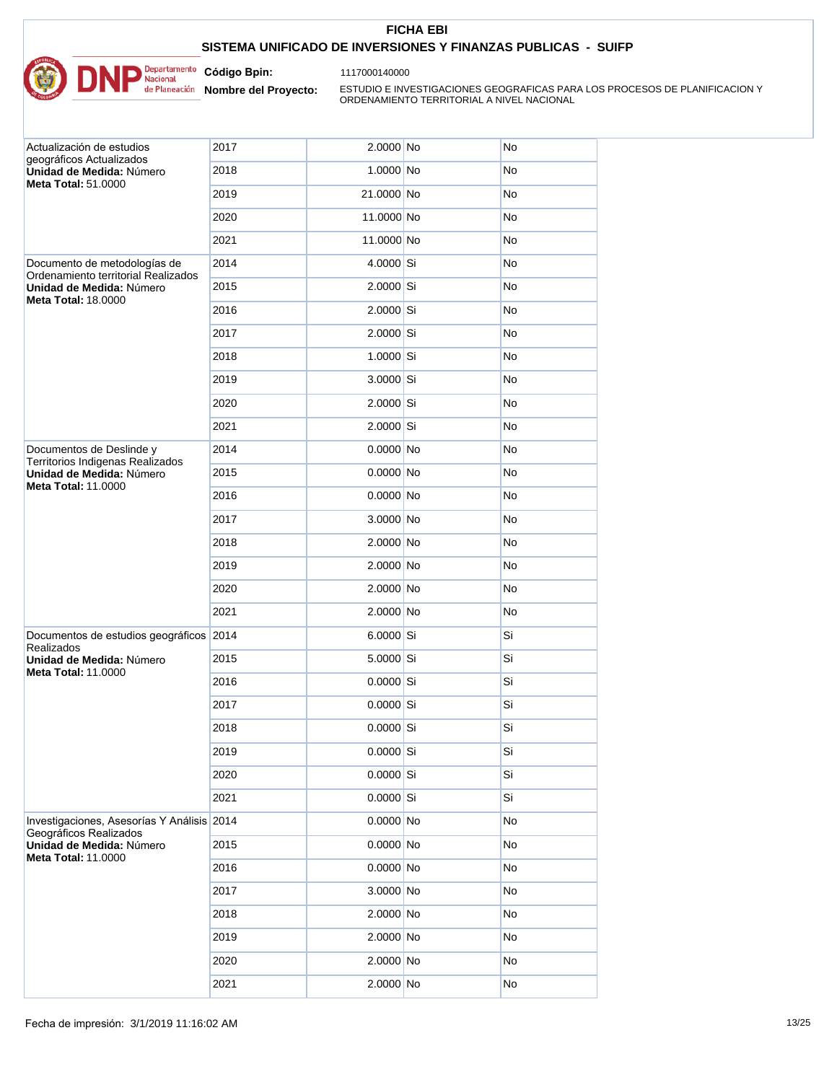

1117000140000

**Nombre del Proyecto:** 

**Código Bpin:**

ESTUDIO E INVESTIGACIONES GEOGRAFICAS PARA LOS PROCESOS DE PLANIFICACION Y ORDENAMIENTO TERRITORIAL A NIVEL NACIONAL

| Actualización de estudios<br>geográficos Actualizados |                                                                                                                                | 2017        | 2.0000 No   | No        |
|-------------------------------------------------------|--------------------------------------------------------------------------------------------------------------------------------|-------------|-------------|-----------|
|                                                       | Unidad de Medida: Número<br><b>Meta Total: 51,0000</b>                                                                         | 2018        | 1.0000 No   | No        |
|                                                       | 2019                                                                                                                           | 21.0000 No  | No.         |           |
|                                                       |                                                                                                                                | 2020        | 11.0000 No  | No        |
|                                                       |                                                                                                                                | 2021        | 11.0000 No  | No.       |
|                                                       | Documento de metodologías de<br>Ordenamiento territorial Realizados                                                            | 2014        | $4.0000$ Si | No        |
|                                                       | Unidad de Medida: Número                                                                                                       | 2015        | $2.0000$ Si | No        |
|                                                       | <b>Meta Total: 18,0000</b>                                                                                                     | 2016        | $2.0000$ Si | No.       |
|                                                       |                                                                                                                                | 2017        | $2.0000$ Si | No        |
|                                                       |                                                                                                                                | 2018        | $1.0000$ Si | No        |
|                                                       |                                                                                                                                | 2019        | $3.0000$ Si | No.       |
|                                                       |                                                                                                                                | 2020        | $2.0000$ Si | <b>No</b> |
|                                                       |                                                                                                                                | 2021        | $2.0000$ Si | No        |
|                                                       | Documentos de Deslinde y<br>Territorios Indigenas Realizados                                                                   | 2014        | $0.0000$ No | No.       |
|                                                       | Unidad de Medida: Número<br><b>Meta Total: 11,0000</b>                                                                         | 2015        | $0.0000$ No | No.       |
|                                                       |                                                                                                                                | 2016        | $0.0000$ No | No        |
|                                                       |                                                                                                                                | 2017        | 3.0000 No   | No.       |
|                                                       | 2018                                                                                                                           | 2.0000 No   | No          |           |
|                                                       | 2019                                                                                                                           | 2.0000 No   | No          |           |
|                                                       | 2020                                                                                                                           | 2.0000 No   | No.         |           |
|                                                       |                                                                                                                                | 2021        | 2.0000 No   | No        |
|                                                       | Documentos de estudios geográficos 2014<br>Realizados                                                                          |             | $6.0000$ Si | Si        |
|                                                       | Unidad de Medida: Número<br><b>Meta Total: 11.0000</b>                                                                         | 2015        | $5.0000$ Si | Si        |
|                                                       |                                                                                                                                | 2016        | $0.0000$ Si | Si        |
|                                                       | 2017                                                                                                                           | $0.0000$ Si | Si          |           |
|                                                       |                                                                                                                                | 2018        | $0.0000$ Si | Si        |
|                                                       |                                                                                                                                | 2019        | $0.0000$ Si | Si        |
|                                                       |                                                                                                                                | 2020        | $0.0000$ Si | Si        |
|                                                       |                                                                                                                                | 2021        | $0.0000$ Si | Si        |
|                                                       | Investigaciones, Asesorías Y Análisis 2014<br>Geográficos Realizados<br>Unidad de Medida: Número<br><b>Meta Total: 11.0000</b> |             | $0.0000$ No | No        |
|                                                       |                                                                                                                                | 2015        | $0.0000$ No | No        |
|                                                       |                                                                                                                                | 2016        | $0.0000$ No | No        |
|                                                       |                                                                                                                                | 2017        | 3.0000 No   | No        |
|                                                       |                                                                                                                                | 2018        | 2.0000 No   | No        |
|                                                       |                                                                                                                                | 2019        | 2.0000 No   | No        |
|                                                       |                                                                                                                                | 2020        | 2.0000 No   | No        |
|                                                       |                                                                                                                                | 2021        | 2.0000 No   | No        |
|                                                       |                                                                                                                                |             |             |           |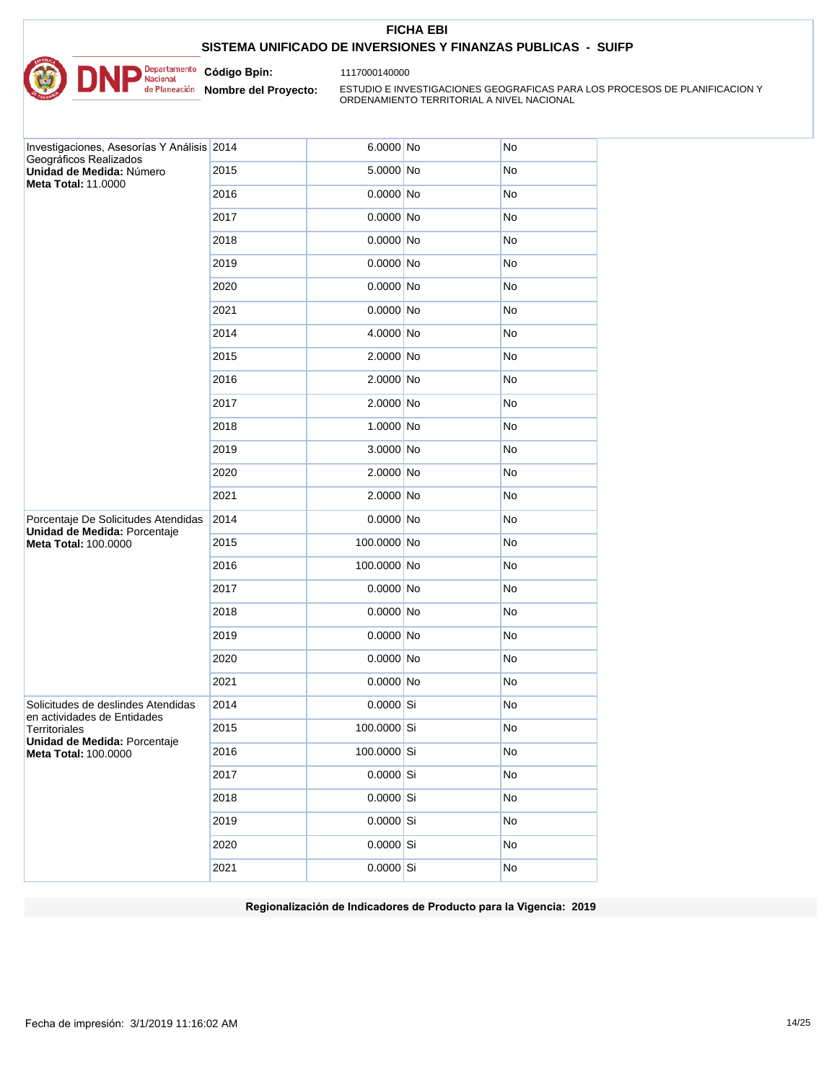

**Nombre del Proyecto:** 

**Código Bpin:**

ESTUDIO E INVESTIGACIONES GEOGRAFICAS PARA LOS PROCESOS DE PLANIFICACION Y ORDENAMIENTO TERRITORIAL A NIVEL NACIONAL

| Investigaciones, Asesorías Y Análisis 2014<br>Geográficos Realizados  |      | 6.0000 No   | No        |
|-----------------------------------------------------------------------|------|-------------|-----------|
| Unidad de Medida: Número<br><b>Meta Total: 11.0000</b>                | 2015 | 5.0000 No   | No        |
|                                                                       | 2016 | $0.0000$ No | <b>No</b> |
|                                                                       | 2017 | $0.0000$ No | No        |
|                                                                       | 2018 | $0.0000$ No | No        |
|                                                                       | 2019 | $0.0000$ No | <b>No</b> |
|                                                                       | 2020 | $0.0000$ No | No        |
|                                                                       | 2021 | $0.0000$ No | No        |
|                                                                       | 2014 | 4.0000 No   | No        |
|                                                                       | 2015 | 2.0000 No   | No        |
|                                                                       | 2016 | 2.0000 No   | <b>No</b> |
|                                                                       | 2017 | 2.0000 No   | <b>No</b> |
|                                                                       | 2018 | 1.0000 No   | No        |
|                                                                       | 2019 | 3.0000 No   | No        |
|                                                                       | 2020 | 2.0000 No   | No        |
|                                                                       | 2021 | 2.0000 No   | No        |
| Porcentaje De Solicitudes Atendidas                                   | 2014 | $0.0000$ No | No        |
| Unidad de Medida: Porcentaje<br>Meta Total: 100.0000                  | 2015 | 100.0000 No | No        |
|                                                                       | 2016 | 100.0000 No | <b>No</b> |
|                                                                       | 2017 | $0.0000$ No | <b>No</b> |
|                                                                       | 2018 | $0.0000$ No | No        |
|                                                                       | 2019 | $0.0000$ No | No        |
|                                                                       | 2020 | $0.0000$ No | <b>No</b> |
|                                                                       | 2021 | $0.0000$ No | <b>No</b> |
| Solicitudes de deslindes Atendidas<br>en actividades de Entidades     | 2014 | $0.0000$ Si | <b>No</b> |
| Territoriales<br>Unidad de Medida: Porcentaje<br>Meta Total: 100.0000 | 2015 | 100.0000 Si | No        |
|                                                                       | 2016 | 100.0000 Si | No        |
|                                                                       | 2017 | $0.0000$ Si | No        |
|                                                                       | 2018 | $0.0000$ Si | No        |
|                                                                       | 2019 | $0.0000$ Si | No        |
|                                                                       | 2020 | $0.0000$ Si | No        |
|                                                                       | 2021 | $0.0000$ Si | No        |
|                                                                       |      |             |           |

**Regionalización de Indicadores de Producto para la Vigencia: 2019**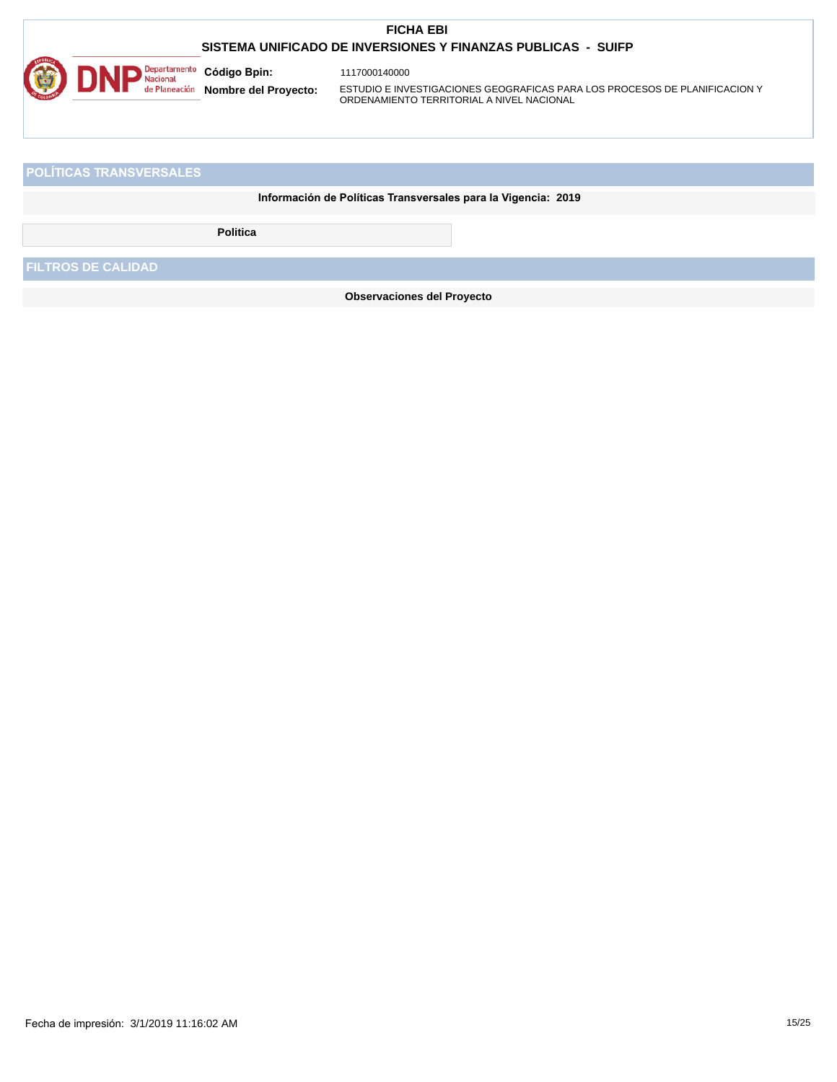|                                                               |                           |                      | <b>FICHA EBI</b>                                                                                                        |  |  |  |
|---------------------------------------------------------------|---------------------------|----------------------|-------------------------------------------------------------------------------------------------------------------------|--|--|--|
|                                                               |                           |                      | SISTEMA UNIFICADO DE INVERSIONES Y FINANZAS PUBLICAS - SUIFP                                                            |  |  |  |
|                                                               | Departamento<br>Nacional  | <b>Código Bpin:</b>  | 1117000140000                                                                                                           |  |  |  |
|                                                               | de Planeación             | Nombre del Proyecto: | ESTUDIO E INVESTIGACIONES GEOGRAFICAS PARA LOS PROCESOS DE PLANIFICACION Y<br>ORDENAMIENTO TERRITORIAL A NIVEL NACIONAL |  |  |  |
|                                                               |                           |                      |                                                                                                                         |  |  |  |
| POLÍTICAS TRANSVERSALES                                       |                           |                      |                                                                                                                         |  |  |  |
| Información de Políticas Transversales para la Vigencia: 2019 |                           |                      |                                                                                                                         |  |  |  |
| <b>Politica</b>                                               |                           |                      |                                                                                                                         |  |  |  |
|                                                               | <b>FILTROS DE CALIDAD</b> |                      |                                                                                                                         |  |  |  |
|                                                               |                           |                      | <b>Observaciones del Proyecto</b>                                                                                       |  |  |  |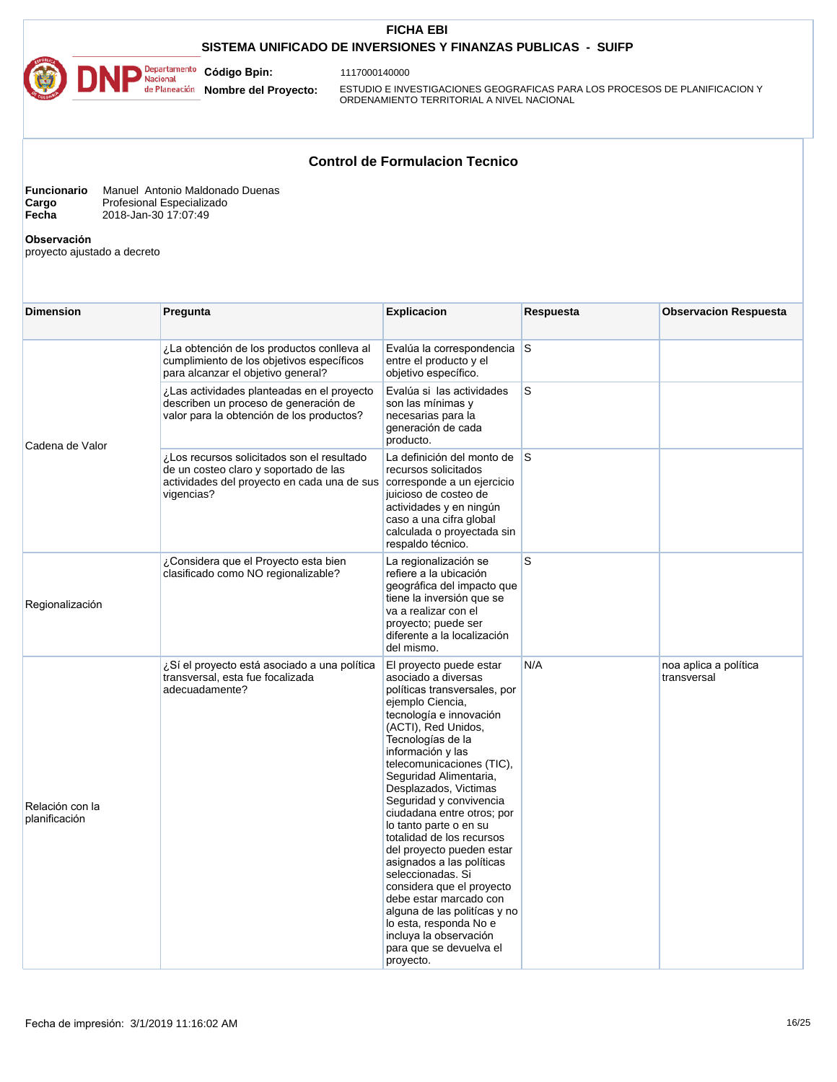### **SISTEMA UNIFICADO DE INVERSIONES Y FINANZAS PUBLICAS - SUIFP**



**Código Bpin:**

1117000140000 **Nombre del Proyecto:** 

ESTUDIO E INVESTIGACIONES GEOGRAFICAS PARA LOS PROCESOS DE PLANIFICACION Y ORDENAMIENTO TERRITORIAL A NIVEL NACIONAL

# **Control de Formulacion Tecnico**

**Funcionario** Manuel Antonio Maldonado Duenas<br> **Cargo** Profesional Especializado<br> **Fecha** 2018-Jan-30 17:07:49 **Cargo** Profesional Especializado **Fecha** 2018-Jan-30 17:07:49

**Observación** 

proyecto ajustado a decreto

| <b>Dimension</b>                 | Pregunta                                                                                                                                         | <b>Explicacion</b>                                                                                                                                                                                                                                                                                                                                                                                                                                                                                                                                                                                                                                               | Respuesta    | <b>Observacion Respuesta</b>         |
|----------------------------------|--------------------------------------------------------------------------------------------------------------------------------------------------|------------------------------------------------------------------------------------------------------------------------------------------------------------------------------------------------------------------------------------------------------------------------------------------------------------------------------------------------------------------------------------------------------------------------------------------------------------------------------------------------------------------------------------------------------------------------------------------------------------------------------------------------------------------|--------------|--------------------------------------|
| Cadena de Valor                  | ¿La obtención de los productos conlleva al<br>cumplimiento de los objetivos específicos<br>para alcanzar el objetivo general?                    | Evalúa la correspondencia S<br>entre el producto y el<br>objetivo específico.                                                                                                                                                                                                                                                                                                                                                                                                                                                                                                                                                                                    |              |                                      |
|                                  | ¿Las actividades planteadas en el proyecto<br>describen un proceso de generación de<br>valor para la obtención de los productos?                 | Evalúa si las actividades<br>son las mínimas y<br>necesarias para la<br>generación de cada<br>producto.                                                                                                                                                                                                                                                                                                                                                                                                                                                                                                                                                          | ls.          |                                      |
|                                  | ¿Los recursos solicitados son el resultado<br>de un costeo claro y soportado de las<br>actividades del proyecto en cada una de sus<br>vigencias? | La definición del monto de S<br>recursos solicitados<br>corresponde a un ejercicio<br>juicioso de costeo de<br>actividades y en ningún<br>caso a una cifra global<br>calculada o proyectada sin<br>respaldo técnico.                                                                                                                                                                                                                                                                                                                                                                                                                                             |              |                                      |
| Regionalización                  | ¿Considera que el Proyecto esta bien<br>clasificado como NO regionalizable?                                                                      | La regionalización se<br>refiere a la ubicación<br>geográfica del impacto que<br>tiene la inversión que se<br>va a realizar con el<br>proyecto; puede ser<br>diferente a la localización<br>del mismo.                                                                                                                                                                                                                                                                                                                                                                                                                                                           | <sub>s</sub> |                                      |
| Relación con la<br>planificación | ¿Sí el proyecto está asociado a una política<br>transversal, esta fue focalizada<br>adecuadamente?                                               | El proyecto puede estar<br>asociado a diversas<br>políticas transversales, por<br>ejemplo Ciencia,<br>tecnología e innovación<br>(ACTI), Red Unidos,<br>Tecnologías de la<br>información y las<br>telecomunicaciones (TIC),<br>Seguridad Alimentaria,<br>Desplazados, Victimas<br>Seguridad y convivencia<br>ciudadana entre otros; por<br>lo tanto parte o en su<br>totalidad de los recursos<br>del proyecto pueden estar<br>asignados a las políticas<br>seleccionadas. Si<br>considera que el proyecto<br>debe estar marcado con<br>alguna de las politícas y no<br>lo esta, responda No e<br>incluya la observación<br>para que se devuelva el<br>proyecto. | N/A          | noa aplica a política<br>transversal |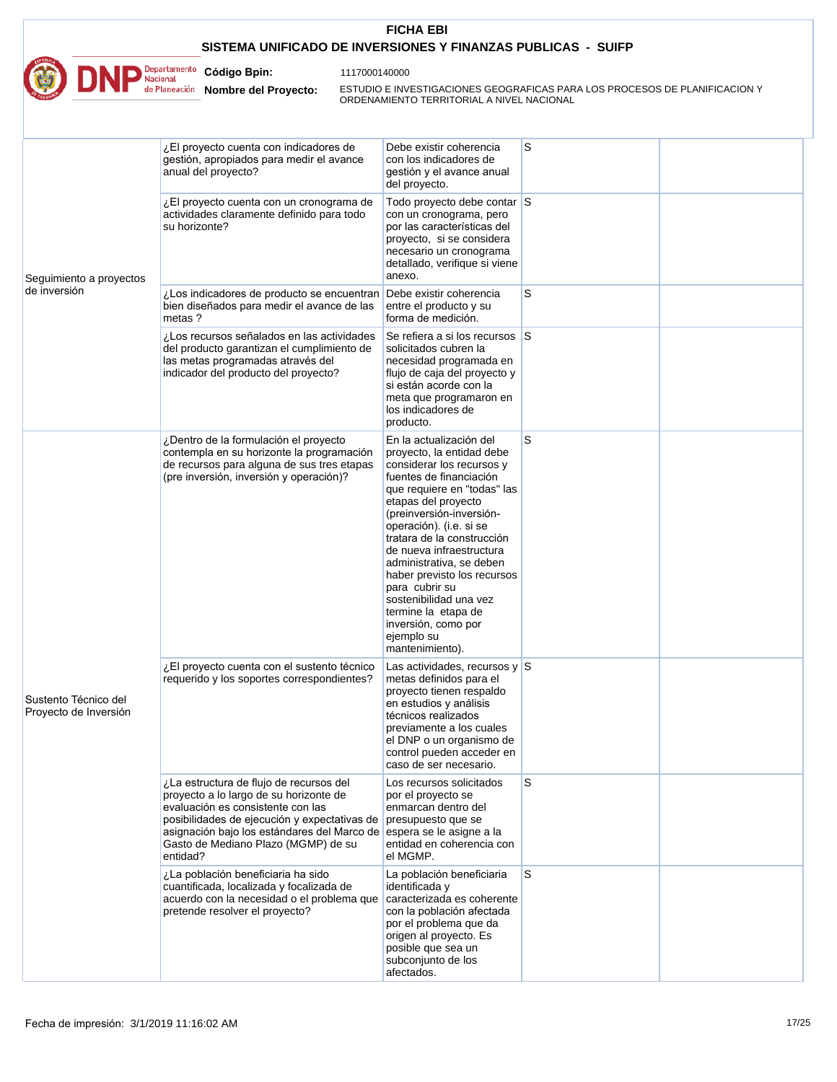|                                               |                                                                                                                                                                                                                                                                          | <b>FICHA EBI</b>                                                                                                                                                                                                                                                                                                                                                                                                                                                          |                                                                            |  |
|-----------------------------------------------|--------------------------------------------------------------------------------------------------------------------------------------------------------------------------------------------------------------------------------------------------------------------------|---------------------------------------------------------------------------------------------------------------------------------------------------------------------------------------------------------------------------------------------------------------------------------------------------------------------------------------------------------------------------------------------------------------------------------------------------------------------------|----------------------------------------------------------------------------|--|
|                                               | SISTEMA UNIFICADO DE INVERSIONES Y FINANZAS PUBLICAS - SUIFP<br>Departamento Código Bpin:<br>1117000140000<br><b>Jacional</b><br>Planeación                                                                                                                              |                                                                                                                                                                                                                                                                                                                                                                                                                                                                           |                                                                            |  |
|                                               | Nombre del Proyecto:                                                                                                                                                                                                                                                     | ORDENAMIENTO TERRITORIAL A NIVEL NACIONAL                                                                                                                                                                                                                                                                                                                                                                                                                                 | ESTUDIO E INVESTIGACIONES GEOGRAFICAS PARA LOS PROCESOS DE PLANIFICACION Y |  |
|                                               | ¿El proyecto cuenta con indicadores de<br>gestión, apropiados para medir el avance<br>anual del proyecto?                                                                                                                                                                | Debe existir coherencia<br>con los indicadores de<br>gestión y el avance anual<br>del proyecto.                                                                                                                                                                                                                                                                                                                                                                           | S                                                                          |  |
| Seguimiento a proyectos                       | ¿El proyecto cuenta con un cronograma de<br>actividades claramente definido para todo<br>su horizonte?                                                                                                                                                                   | Todo proyecto debe contar S<br>con un cronograma, pero<br>por las características del<br>proyecto, si se considera<br>necesario un cronograma<br>detallado, verifique si viene<br>anexo.                                                                                                                                                                                                                                                                                  |                                                                            |  |
| de inversión                                  | ¿Los indicadores de producto se encuentran<br>bien diseñados para medir el avance de las<br>metas?                                                                                                                                                                       | Debe existir coherencia<br>entre el producto y su<br>forma de medición.                                                                                                                                                                                                                                                                                                                                                                                                   | S                                                                          |  |
|                                               | ¿Los recursos señalados en las actividades<br>del producto garantizan el cumplimiento de<br>las metas programadas através del<br>indicador del producto del proyecto?                                                                                                    | Se refiera a si los recursos S<br>solicitados cubren la<br>necesidad programada en<br>flujo de caja del proyecto y<br>si están acorde con la<br>meta que programaron en<br>los indicadores de<br>producto.                                                                                                                                                                                                                                                                |                                                                            |  |
| Sustento Técnico del<br>Proyecto de Inversión | ¿Dentro de la formulación el proyecto<br>contempla en su horizonte la programación<br>de recursos para alguna de sus tres etapas<br>(pre inversión, inversión y operación)?                                                                                              | En la actualización del<br>proyecto, la entidad debe<br>considerar los recursos y<br>fuentes de financiación<br>que requiere en "todas" las<br>etapas del proyecto<br>(preinversión-inversión-<br>operación). (i.e. si se<br>tratara de la construcción<br>de nueva infraestructura<br>administrativa, se deben<br>haber previsto los recursos<br>para cubrir su<br>sostenibilidad una vez<br>termine la etapa de<br>inversión, como por<br>ejemplo su<br>mantenimiento). | S                                                                          |  |
|                                               | ¿El proyecto cuenta con el sustento técnico<br>requerido y los soportes correspondientes?                                                                                                                                                                                | Las actividades, recursos y $\mid$ S<br>metas definidos para el<br>proyecto tienen respaldo<br>en estudios y análisis<br>técnicos realizados<br>previamente a los cuales<br>el DNP o un organismo de<br>control pueden acceder en<br>caso de ser necesario.                                                                                                                                                                                                               |                                                                            |  |
|                                               | ¿La estructura de flujo de recursos del<br>proyecto a lo largo de su horizonte de<br>evaluación es consistente con las<br>posibilidades de ejecución y expectativas de<br>asignación bajo los estándares del Marco de<br>Gasto de Mediano Plazo (MGMP) de su<br>entidad? | Los recursos solicitados<br>por el proyecto se<br>enmarcan dentro del<br>presupuesto que se<br>espera se le asigne a la<br>entidad en coherencia con<br>el MGMP.                                                                                                                                                                                                                                                                                                          | S                                                                          |  |
|                                               | ¿La población beneficiaria ha sido<br>cuantificada, localizada y focalizada de<br>acuerdo con la necesidad o el problema que<br>pretende resolver el proyecto?                                                                                                           | La población beneficiaria<br>identificada y<br>caracterizada es coherente<br>con la población afectada<br>por el problema que da<br>origen al proyecto. Es<br>posible que sea un                                                                                                                                                                                                                                                                                          | S                                                                          |  |

subconjunto de los afectados.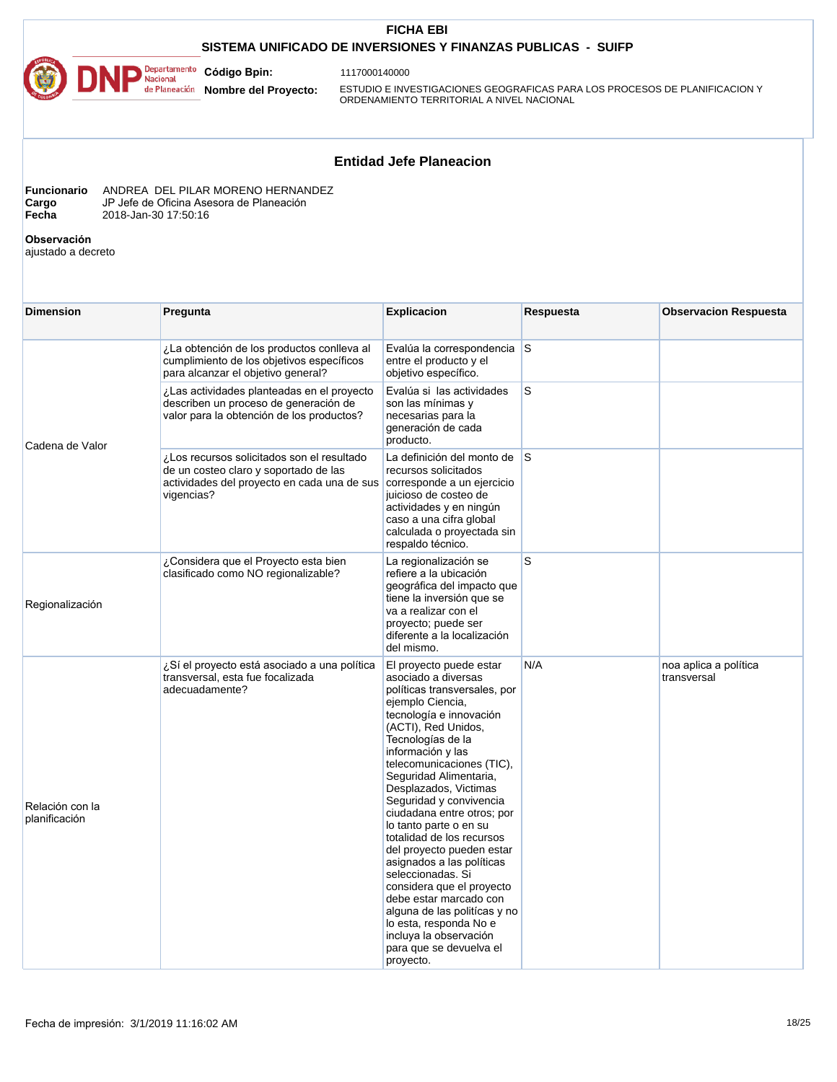## **SISTEMA UNIFICADO DE INVERSIONES Y FINANZAS PUBLICAS - SUIFP**



**Código Bpin:**

1117000140000

**Nombre del Proyecto:** 

ESTUDIO E INVESTIGACIONES GEOGRAFICAS PARA LOS PROCESOS DE PLANIFICACION Y ORDENAMIENTO TERRITORIAL A NIVEL NACIONAL

# **Entidad Jefe Planeacion**

| Funcionar |
|-----------|
| Cargo     |
| Eacha     |

**Funcionario** ANDREA DEL PILAR MORENO HERNANDEZ **Cargo** JP Jefe de Oficina Asesora de Planeación **Fecha** 2018-Jan-30 17:50:16

**Observación** 

ajustado a decreto

| <b>Dimension</b>                 | Pregunta                                                                                                                                         | <b>Explicacion</b>                                                                                                                                                                                                                                                                                                                                                                                                                                                                                                                                                                                                                                               | Respuesta | <b>Observacion Respuesta</b>         |
|----------------------------------|--------------------------------------------------------------------------------------------------------------------------------------------------|------------------------------------------------------------------------------------------------------------------------------------------------------------------------------------------------------------------------------------------------------------------------------------------------------------------------------------------------------------------------------------------------------------------------------------------------------------------------------------------------------------------------------------------------------------------------------------------------------------------------------------------------------------------|-----------|--------------------------------------|
| Cadena de Valor                  | ¿La obtención de los productos conlleva al<br>cumplimiento de los objetivos específicos<br>para alcanzar el objetivo general?                    | Evalúa la correspondencia S<br>entre el producto y el<br>objetivo específico.                                                                                                                                                                                                                                                                                                                                                                                                                                                                                                                                                                                    |           |                                      |
|                                  | ¿Las actividades planteadas en el proyecto<br>describen un proceso de generación de<br>valor para la obtención de los productos?                 | Evalúa si las actividades<br>son las mínimas v<br>necesarias para la<br>generación de cada<br>producto.                                                                                                                                                                                                                                                                                                                                                                                                                                                                                                                                                          | S         |                                      |
|                                  | ¿Los recursos solicitados son el resultado<br>de un costeo claro y soportado de las<br>actividades del proyecto en cada una de sus<br>vigencias? | La definición del monto de S<br>recursos solicitados<br>corresponde a un ejercicio<br>juicioso de costeo de<br>actividades y en ningún<br>caso a una cifra global<br>calculada o proyectada sin<br>respaldo técnico.                                                                                                                                                                                                                                                                                                                                                                                                                                             |           |                                      |
| Regionalización                  | ¿Considera que el Proyecto esta bien<br>clasificado como NO regionalizable?                                                                      | La regionalización se<br>refiere a la ubicación<br>geográfica del impacto que<br>tiene la inversión que se<br>va a realizar con el<br>proyecto; puede ser<br>diferente a la localización<br>del mismo.                                                                                                                                                                                                                                                                                                                                                                                                                                                           | S         |                                      |
| Relación con la<br>planificación | ¿Sí el proyecto está asociado a una política<br>transversal, esta fue focalizada<br>adecuadamente?                                               | El proyecto puede estar<br>asociado a diversas<br>políticas transversales, por<br>ejemplo Ciencia,<br>tecnología e innovación<br>(ACTI), Red Unidos,<br>Tecnologías de la<br>información y las<br>telecomunicaciones (TIC),<br>Seguridad Alimentaria,<br>Desplazados, Victimas<br>Seguridad y convivencia<br>ciudadana entre otros; por<br>lo tanto parte o en su<br>totalidad de los recursos<br>del proyecto pueden estar<br>asignados a las políticas<br>seleccionadas. Si<br>considera que el proyecto<br>debe estar marcado con<br>alguna de las politícas y no<br>lo esta, responda No e<br>incluya la observación<br>para que se devuelva el<br>proyecto. | N/A       | noa aplica a política<br>transversal |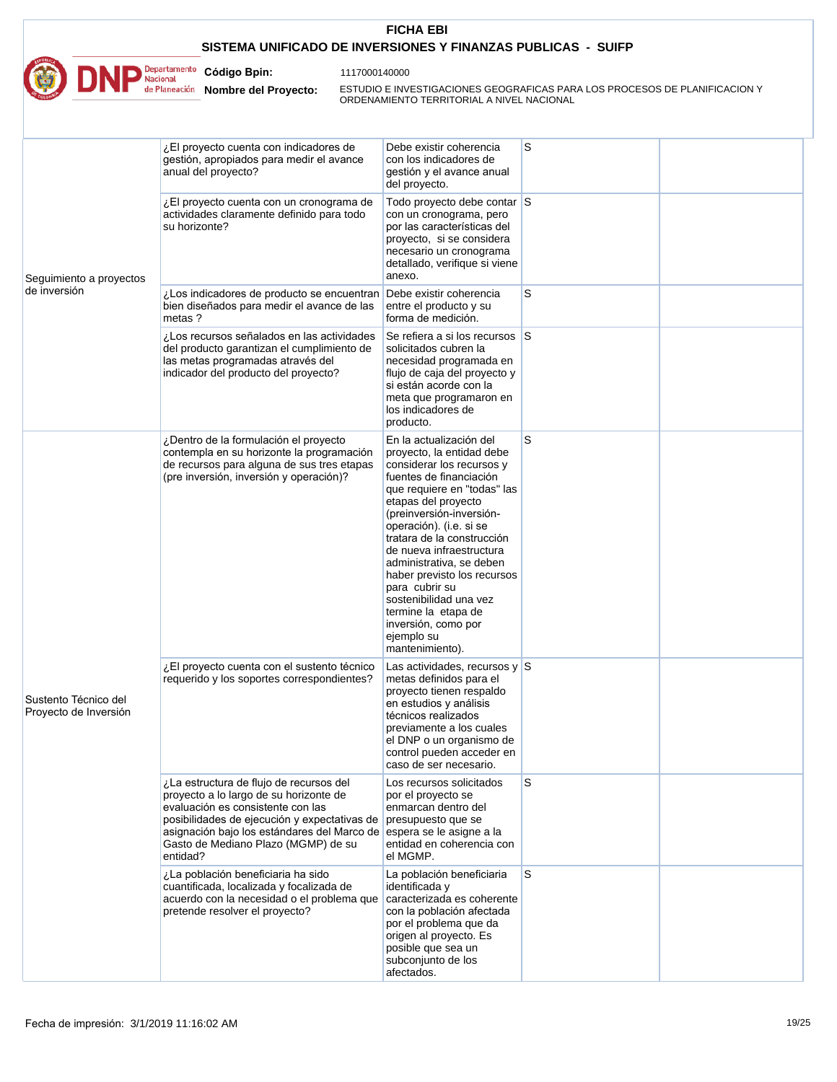|                                                                                                                                                                                                                                |                                                                                                                                                                                                                                                                          | <b>FICHA EBI</b>                                                                                                                                                                                                                                                                                                                                                                                                                                                          |   |  |
|--------------------------------------------------------------------------------------------------------------------------------------------------------------------------------------------------------------------------------|--------------------------------------------------------------------------------------------------------------------------------------------------------------------------------------------------------------------------------------------------------------------------|---------------------------------------------------------------------------------------------------------------------------------------------------------------------------------------------------------------------------------------------------------------------------------------------------------------------------------------------------------------------------------------------------------------------------------------------------------------------------|---|--|
|                                                                                                                                                                                                                                | SISTEMA UNIFICADO DE INVERSIONES Y FINANZAS PUBLICAS - SUIFP                                                                                                                                                                                                             |                                                                                                                                                                                                                                                                                                                                                                                                                                                                           |   |  |
| Departamento Código Bpin:<br>1117000140000<br><b>Jacional</b><br>Planeación<br>Nombre del Proyecto:<br>ESTUDIO E INVESTIGACIONES GEOGRAFICAS PARA LOS PROCESOS DE PLANIFICACION Y<br>ORDENAMIENTO TERRITORIAL A NIVEL NACIONAL |                                                                                                                                                                                                                                                                          |                                                                                                                                                                                                                                                                                                                                                                                                                                                                           |   |  |
|                                                                                                                                                                                                                                | ¿El proyecto cuenta con indicadores de<br>gestión, apropiados para medir el avance<br>anual del proyecto?                                                                                                                                                                | Debe existir coherencia<br>con los indicadores de<br>gestión y el avance anual<br>del proyecto.                                                                                                                                                                                                                                                                                                                                                                           | S |  |
| Seguimiento a proyectos                                                                                                                                                                                                        | ¿El proyecto cuenta con un cronograma de<br>actividades claramente definido para todo<br>su horizonte?                                                                                                                                                                   | Todo proyecto debe contar S<br>con un cronograma, pero<br>por las características del<br>proyecto, si se considera<br>necesario un cronograma<br>detallado, verifique si viene<br>anexo.                                                                                                                                                                                                                                                                                  |   |  |
| de inversión                                                                                                                                                                                                                   | ¿Los indicadores de producto se encuentran<br>bien diseñados para medir el avance de las<br>metas?                                                                                                                                                                       | Debe existir coherencia<br>entre el producto y su<br>forma de medición.                                                                                                                                                                                                                                                                                                                                                                                                   | S |  |
|                                                                                                                                                                                                                                | ¿Los recursos señalados en las actividades<br>del producto garantizan el cumplimiento de<br>las metas programadas através del<br>indicador del producto del proyecto?                                                                                                    | Se refiera a si los recursos S<br>solicitados cubren la<br>necesidad programada en<br>flujo de caja del proyecto y<br>si están acorde con la<br>meta que programaron en<br>los indicadores de<br>producto.                                                                                                                                                                                                                                                                |   |  |
| Sustento Técnico del<br>Proyecto de Inversión                                                                                                                                                                                  | ¿Dentro de la formulación el proyecto<br>contempla en su horizonte la programación<br>de recursos para alguna de sus tres etapas<br>(pre inversión, inversión y operación)?                                                                                              | En la actualización del<br>proyecto, la entidad debe<br>considerar los recursos y<br>fuentes de financiación<br>que requiere en "todas" las<br>etapas del proyecto<br>(preinversión-inversión-<br>operación). (i.e. si se<br>tratara de la construcción<br>de nueva infraestructura<br>administrativa, se deben<br>haber previsto los recursos<br>para cubrir su<br>sostenibilidad una vez<br>termine la etapa de<br>inversión, como por<br>ejemplo su<br>mantenimiento). | S |  |
|                                                                                                                                                                                                                                | ¿El proyecto cuenta con el sustento técnico<br>requerido y los soportes correspondientes?                                                                                                                                                                                | Las actividades, recursos y $\mid$ S<br>metas definidos para el<br>proyecto tienen respaldo<br>en estudios y análisis<br>técnicos realizados<br>previamente a los cuales<br>el DNP o un organismo de<br>control pueden acceder en<br>caso de ser necesario.                                                                                                                                                                                                               |   |  |
|                                                                                                                                                                                                                                | ¿La estructura de flujo de recursos del<br>proyecto a lo largo de su horizonte de<br>evaluación es consistente con las<br>posibilidades de ejecución y expectativas de<br>asignación bajo los estándares del Marco de<br>Gasto de Mediano Plazo (MGMP) de su<br>entidad? | Los recursos solicitados<br>por el proyecto se<br>enmarcan dentro del<br>presupuesto que se<br>espera se le asigne a la<br>entidad en coherencia con<br>el MGMP.                                                                                                                                                                                                                                                                                                          | S |  |
|                                                                                                                                                                                                                                | ¿La población beneficiaria ha sido<br>cuantificada, localizada y focalizada de<br>acuerdo con la necesidad o el problema que<br>pretende resolver el proyecto?                                                                                                           | La población beneficiaria<br>identificada y<br>caracterizada es coherente<br>con la población afectada<br>por el problema que da<br>origen al proyecto. Es<br>posible que sea un<br>subconjunto de los                                                                                                                                                                                                                                                                    | S |  |

afectados.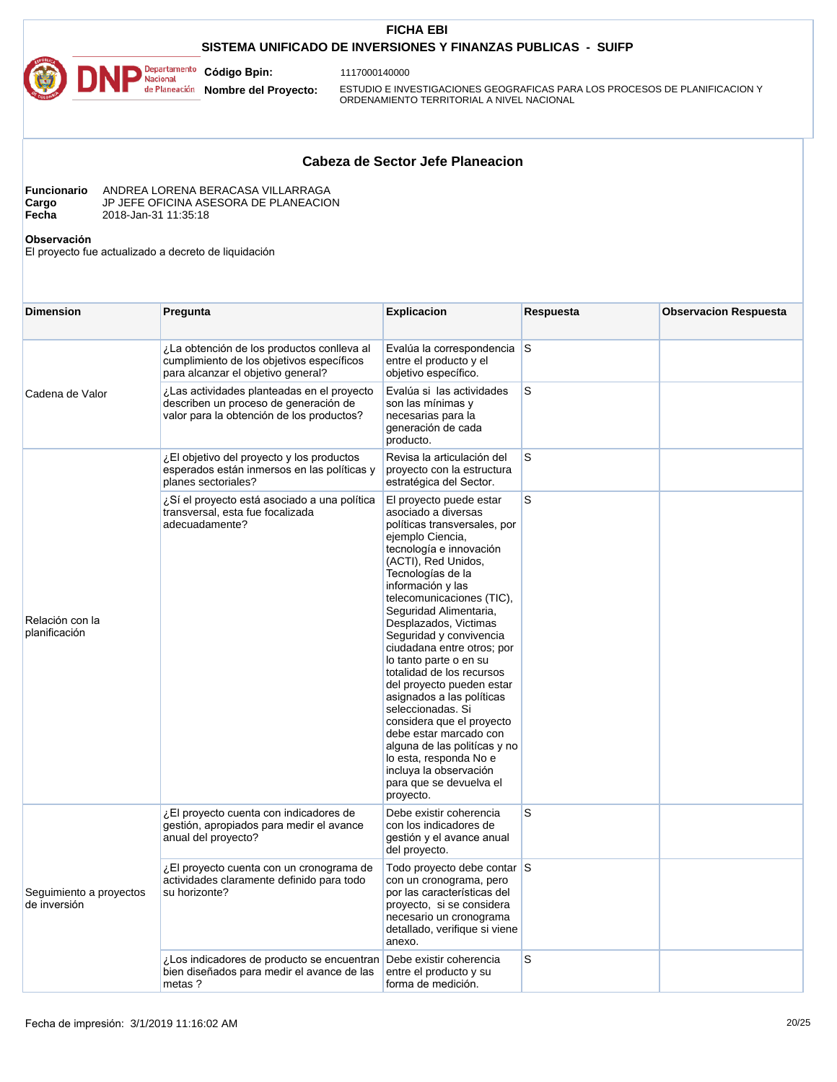## **SISTEMA UNIFICADO DE INVERSIONES Y FINANZAS PUBLICAS - SUIFP**



**Código Bpin:**

1117000140000

**Nombre del Proyecto:** 

ESTUDIO E INVESTIGACIONES GEOGRAFICAS PARA LOS PROCESOS DE PLANIFICACION Y ORDENAMIENTO TERRITORIAL A NIVEL NACIONAL

## **Cabeza de Sector Jefe Planeacion**

| <b>Funcionario</b> | ANDREA LORENA BERACASA VILLARRAGA     |
|--------------------|---------------------------------------|
| Cargo              | JP JEFE OFICINA ASESORA DE PLANEACION |
| Fecha              | 2018-Jan-31 11:35:18                  |

**Observación** 

El proyecto fue actualizado a decreto de liquidación

| <b>Dimension</b>                        | Pregunta                                                                                                                         | <b>Explicacion</b>                                                                                                                                                                                                                                                                                                                                                                                                                                                                                                                                                                                                                                               | Respuesta | <b>Observacion Respuesta</b> |
|-----------------------------------------|----------------------------------------------------------------------------------------------------------------------------------|------------------------------------------------------------------------------------------------------------------------------------------------------------------------------------------------------------------------------------------------------------------------------------------------------------------------------------------------------------------------------------------------------------------------------------------------------------------------------------------------------------------------------------------------------------------------------------------------------------------------------------------------------------------|-----------|------------------------------|
|                                         | ¿La obtención de los productos conlleva al<br>cumplimiento de los objetivos específicos<br>para alcanzar el objetivo general?    | Evalúa la correspondencia S<br>entre el producto y el<br>objetivo específico.                                                                                                                                                                                                                                                                                                                                                                                                                                                                                                                                                                                    |           |                              |
| Cadena de Valor                         | ¿Las actividades planteadas en el proyecto<br>describen un proceso de generación de<br>valor para la obtención de los productos? | Evalúa si las actividades<br>son las mínimas y<br>necesarias para la<br>generación de cada<br>producto.                                                                                                                                                                                                                                                                                                                                                                                                                                                                                                                                                          | S         |                              |
|                                         | ¿El objetivo del proyecto y los productos<br>esperados están inmersos en las políticas y<br>planes sectoriales?                  | Revisa la articulación del<br>proyecto con la estructura<br>estratégica del Sector.                                                                                                                                                                                                                                                                                                                                                                                                                                                                                                                                                                              | S         |                              |
| Relación con la<br>planificación        | ¿Sí el proyecto está asociado a una política<br>transversal, esta fue focalizada<br>adecuadamente?                               | El proyecto puede estar<br>asociado a diversas<br>políticas transversales, por<br>ejemplo Ciencia,<br>tecnología e innovación<br>(ACTI), Red Unidos,<br>Tecnologías de la<br>información y las<br>telecomunicaciones (TIC),<br>Seguridad Alimentaria,<br>Desplazados, Victimas<br>Seguridad y convivencia<br>ciudadana entre otros; por<br>lo tanto parte o en su<br>totalidad de los recursos<br>del proyecto pueden estar<br>asignados a las políticas<br>seleccionadas. Si<br>considera que el proyecto<br>debe estar marcado con<br>alguna de las politícas y no<br>lo esta, responda No e<br>incluya la observación<br>para que se devuelva el<br>proyecto. | S         |                              |
| Seguimiento a proyectos<br>de inversión | ¿El proyecto cuenta con indicadores de<br>gestión, apropiados para medir el avance<br>anual del proyecto?                        | Debe existir coherencia<br>con los indicadores de<br>gestión y el avance anual<br>del proyecto.                                                                                                                                                                                                                                                                                                                                                                                                                                                                                                                                                                  | S         |                              |
|                                         | ¿El proyecto cuenta con un cronograma de<br>actividades claramente definido para todo<br>su horizonte?                           | Todo proyecto debe contar S<br>con un cronograma, pero<br>por las características del<br>proyecto, si se considera<br>necesario un cronograma<br>detallado, verifique si viene<br>anexo.                                                                                                                                                                                                                                                                                                                                                                                                                                                                         |           |                              |
|                                         | ¿Los indicadores de producto se encuentran<br>bien diseñados para medir el avance de las<br>metas?                               | Debe existir coherencia<br>entre el producto y su<br>forma de medición.                                                                                                                                                                                                                                                                                                                                                                                                                                                                                                                                                                                          | S         |                              |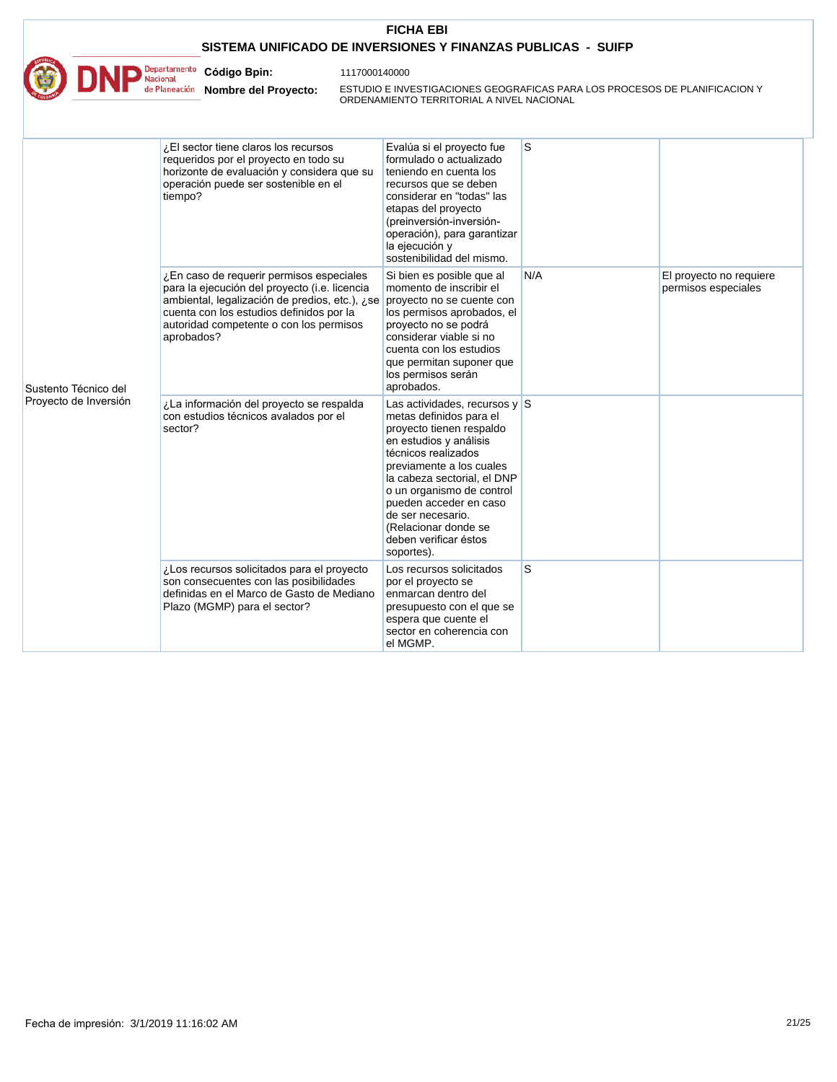|                       |                                                                                                                                                                                                                                                                                                                                                                                                                                    | <b>FICHA EBI</b>                                                                                                                                                                                                                                                                                                                                                                                                                                                                                                                                                                    |          |                                                |
|-----------------------|------------------------------------------------------------------------------------------------------------------------------------------------------------------------------------------------------------------------------------------------------------------------------------------------------------------------------------------------------------------------------------------------------------------------------------|-------------------------------------------------------------------------------------------------------------------------------------------------------------------------------------------------------------------------------------------------------------------------------------------------------------------------------------------------------------------------------------------------------------------------------------------------------------------------------------------------------------------------------------------------------------------------------------|----------|------------------------------------------------|
|                       | Departamento<br>Nacional<br><b>Código Bpin:</b><br>de Planeación<br>Nombre del Proyecto:                                                                                                                                                                                                                                                                                                                                           | SISTEMA UNIFICADO DE INVERSIONES Y FINANZAS PUBLICAS - SUIFP<br>1117000140000<br>ESTUDIO E INVESTIGACIONES GEOGRAFICAS PARA LOS PROCESOS DE PLANIFICACION Y                                                                                                                                                                                                                                                                                                                                                                                                                         |          |                                                |
| Sustento Técnico del  | ¿El sector tiene claros los recursos<br>requeridos por el proyecto en todo su<br>horizonte de evaluación y considera que su<br>operación puede ser sostenible en el<br>tiempo?<br>¿En caso de requerir permisos especiales<br>para la ejecución del proyecto (i.e. licencia<br>ambiental, legalización de predios, etc.), ¿se<br>cuenta con los estudios definidos por la<br>autoridad competente o con los permisos<br>aprobados? | ORDENAMIENTO TERRITORIAL A NIVEL NACIONAL<br>Evalúa si el proyecto fue<br>formulado o actualizado<br>teniendo en cuenta los<br>recursos que se deben<br>considerar en "todas" las<br>etapas del proyecto<br>(preinversión-inversión-<br>operación), para garantizar<br>la ejecución y<br>sostenibilidad del mismo.<br>Si bien es posible que al<br>momento de inscribir el<br>proyecto no se cuente con<br>los permisos aprobados, el<br>proyecto no se podrá<br>considerar viable si no<br>cuenta con los estudios<br>que permitan suponer que<br>los permisos serán<br>aprobados. | S<br>N/A | El proyecto no requiere<br>permisos especiales |
| Provecto de Inversión | ¿La información del proyecto se respalda<br>con estudios técnicos avalados por el<br>sector?                                                                                                                                                                                                                                                                                                                                       | Las actividades, recursos y $\mid$ S<br>metas definidos para el<br>proyecto tienen respaldo<br>en estudios y análisis<br>técnicos realizados<br>previamente a los cuales<br>la cabeza sectorial, el DNP<br>o un organismo de control<br>pueden acceder en caso<br>de ser necesario.<br>(Relacionar donde se<br>deben verificar éstos<br>soportes).                                                                                                                                                                                                                                  |          |                                                |
|                       | ¿Los recursos solicitados para el proyecto<br>son consecuentes con las posibilidades<br>definidas en el Marco de Gasto de Mediano<br>Plazo (MGMP) para el sector?                                                                                                                                                                                                                                                                  | Los recursos solicitados<br>por el proyecto se<br>enmarcan dentro del<br>presupuesto con el que se<br>espera que cuente el<br>sector en coherencia con<br>el MGMP.                                                                                                                                                                                                                                                                                                                                                                                                                  | S        |                                                |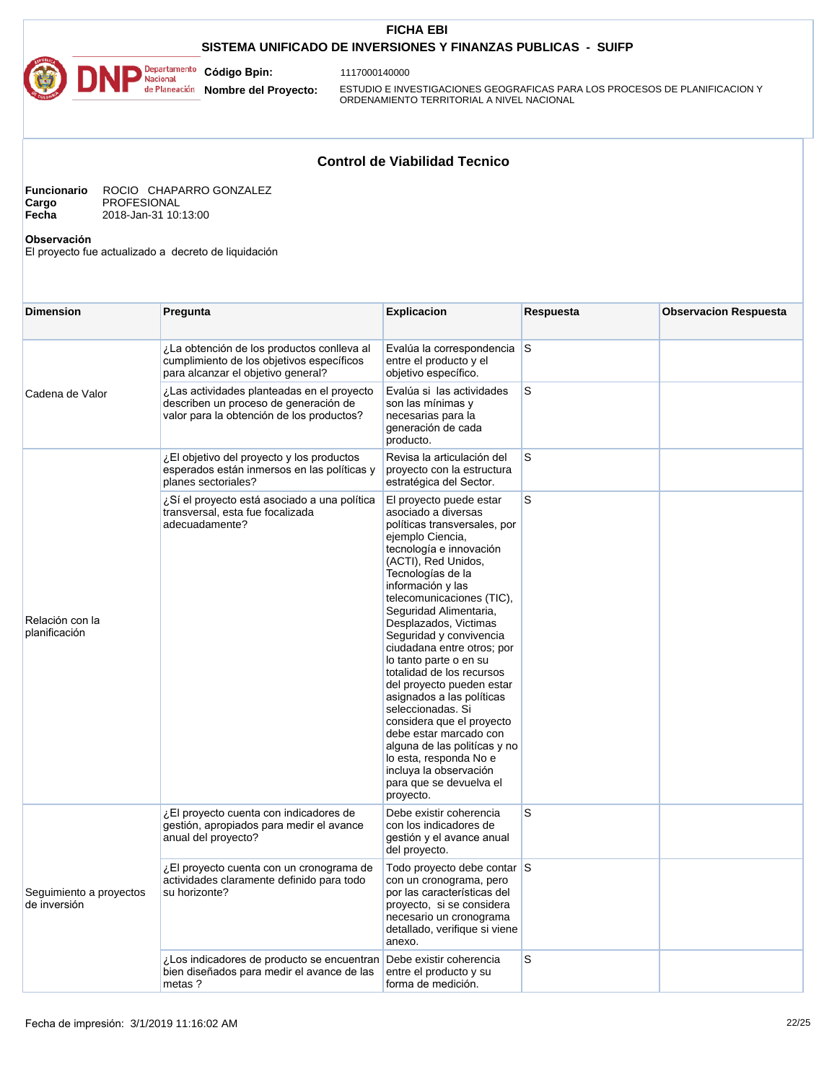## **SISTEMA UNIFICADO DE INVERSIONES Y FINANZAS PUBLICAS - SUIFP**



**Código Bpin:**

1117000140000

**Nombre del Proyecto:** 

ESTUDIO E INVESTIGACIONES GEOGRAFICAS PARA LOS PROCESOS DE PLANIFICACION Y ORDENAMIENTO TERRITORIAL A NIVEL NACIONAL

# **Control de Viabilidad Tecnico**

| Funcionario | ROCIO CHAPARRO GONZALEZ |
|-------------|-------------------------|
| Cargo       | <b>PROFESIONAL</b>      |
| Fecha       | 2018-Jan-31 10:13:00    |

**Observación** 

El proyecto fue actualizado a decreto de liquidación

| <b>Dimension</b>                        | Pregunta                                                                                                                         | <b>Explicacion</b>                                                                                                                                                                                                                                                                                                                                                                                                                                                                                                                                                                                                                                               | Respuesta | <b>Observacion Respuesta</b> |
|-----------------------------------------|----------------------------------------------------------------------------------------------------------------------------------|------------------------------------------------------------------------------------------------------------------------------------------------------------------------------------------------------------------------------------------------------------------------------------------------------------------------------------------------------------------------------------------------------------------------------------------------------------------------------------------------------------------------------------------------------------------------------------------------------------------------------------------------------------------|-----------|------------------------------|
|                                         | ¿La obtención de los productos conlleva al<br>cumplimiento de los objetivos específicos<br>para alcanzar el objetivo general?    | Evalúa la correspondencia S<br>entre el producto y el<br>objetivo específico.                                                                                                                                                                                                                                                                                                                                                                                                                                                                                                                                                                                    |           |                              |
| Cadena de Valor                         | ¿Las actividades planteadas en el proyecto<br>describen un proceso de generación de<br>valor para la obtención de los productos? | Evalúa si las actividades<br>son las mínimas y<br>necesarias para la<br>generación de cada<br>producto.                                                                                                                                                                                                                                                                                                                                                                                                                                                                                                                                                          | S         |                              |
|                                         | ¿El objetivo del proyecto y los productos<br>esperados están inmersos en las políticas y<br>planes sectoriales?                  | Revisa la articulación del<br>proyecto con la estructura<br>estratégica del Sector.                                                                                                                                                                                                                                                                                                                                                                                                                                                                                                                                                                              | S         |                              |
| Relación con la<br>planificación        | ¿Sí el proyecto está asociado a una política<br>transversal, esta fue focalizada<br>adecuadamente?                               | El proyecto puede estar<br>asociado a diversas<br>políticas transversales, por<br>ejemplo Ciencia,<br>tecnología e innovación<br>(ACTI), Red Unidos,<br>Tecnologías de la<br>información y las<br>telecomunicaciones (TIC),<br>Seguridad Alimentaria,<br>Desplazados, Victimas<br>Seguridad y convivencia<br>ciudadana entre otros; por<br>lo tanto parte o en su<br>totalidad de los recursos<br>del proyecto pueden estar<br>asignados a las políticas<br>seleccionadas. Si<br>considera que el proyecto<br>debe estar marcado con<br>alguna de las politícas y no<br>lo esta, responda No e<br>incluya la observación<br>para que se devuelva el<br>proyecto. | S         |                              |
| Seguimiento a proyectos<br>de inversión | ¿El proyecto cuenta con indicadores de<br>gestión, apropiados para medir el avance<br>anual del proyecto?                        | Debe existir coherencia<br>con los indicadores de<br>gestión y el avance anual<br>del proyecto.                                                                                                                                                                                                                                                                                                                                                                                                                                                                                                                                                                  | S         |                              |
|                                         | ¿El proyecto cuenta con un cronograma de<br>actividades claramente definido para todo<br>su horizonte?                           | Todo proyecto debe contar S<br>con un cronograma, pero<br>por las características del<br>proyecto, si se considera<br>necesario un cronograma<br>detallado, verifique si viene<br>anexo.                                                                                                                                                                                                                                                                                                                                                                                                                                                                         |           |                              |
|                                         | ¿Los indicadores de producto se encuentran<br>bien diseñados para medir el avance de las<br>metas?                               | Debe existir coherencia<br>entre el producto y su<br>forma de medición.                                                                                                                                                                                                                                                                                                                                                                                                                                                                                                                                                                                          | S         |                              |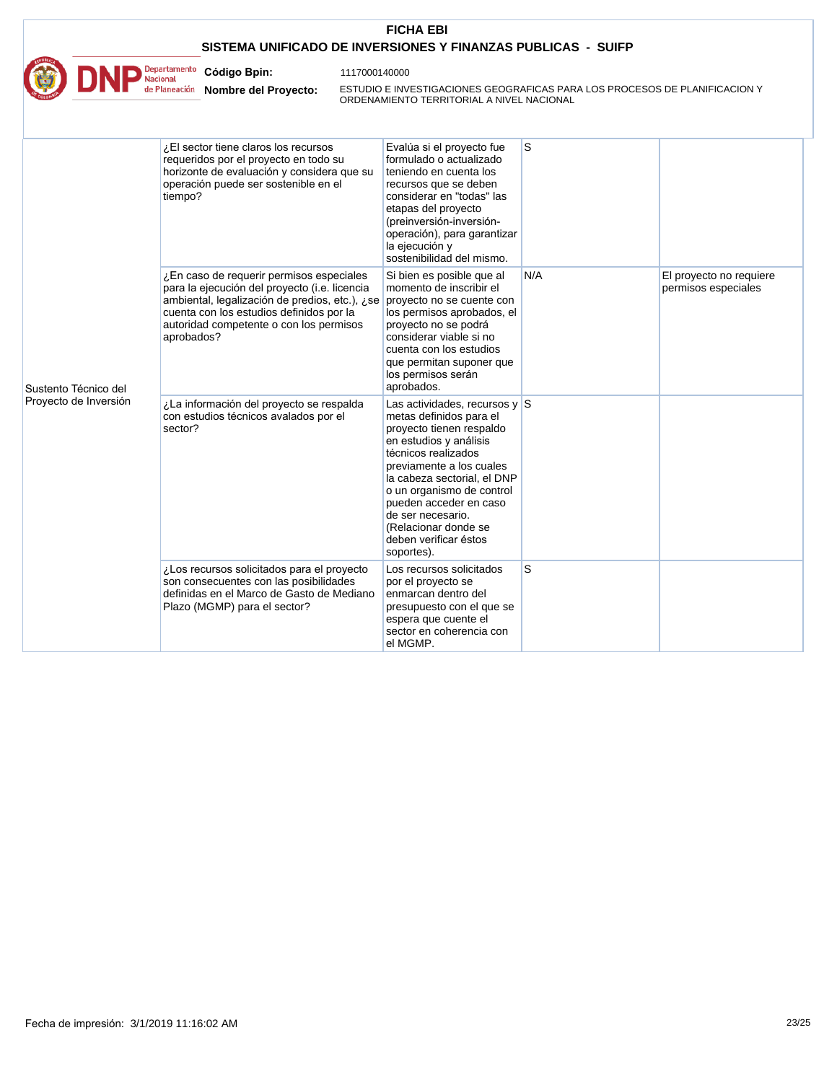|                       |                                                                                                                                                                                                                                                                                                                                                                                                                                    | <b>FICHA EBI</b>                                                                                                                                                                                                                                                                                                                                                                                                                                                                                                                                                                    |          |                                                |
|-----------------------|------------------------------------------------------------------------------------------------------------------------------------------------------------------------------------------------------------------------------------------------------------------------------------------------------------------------------------------------------------------------------------------------------------------------------------|-------------------------------------------------------------------------------------------------------------------------------------------------------------------------------------------------------------------------------------------------------------------------------------------------------------------------------------------------------------------------------------------------------------------------------------------------------------------------------------------------------------------------------------------------------------------------------------|----------|------------------------------------------------|
|                       | Departamento<br>Nacional<br><b>Código Bpin:</b><br>de Planeación<br>Nombre del Proyecto:                                                                                                                                                                                                                                                                                                                                           | SISTEMA UNIFICADO DE INVERSIONES Y FINANZAS PUBLICAS - SUIFP<br>1117000140000<br>ESTUDIO E INVESTIGACIONES GEOGRAFICAS PARA LOS PROCESOS DE PLANIFICACION Y                                                                                                                                                                                                                                                                                                                                                                                                                         |          |                                                |
| Sustento Técnico del  | ¿El sector tiene claros los recursos<br>requeridos por el proyecto en todo su<br>horizonte de evaluación y considera que su<br>operación puede ser sostenible en el<br>tiempo?<br>¿En caso de requerir permisos especiales<br>para la ejecución del proyecto (i.e. licencia<br>ambiental, legalización de predios, etc.), ¿se<br>cuenta con los estudios definidos por la<br>autoridad competente o con los permisos<br>aprobados? | ORDENAMIENTO TERRITORIAL A NIVEL NACIONAL<br>Evalúa si el proyecto fue<br>formulado o actualizado<br>teniendo en cuenta los<br>recursos que se deben<br>considerar en "todas" las<br>etapas del proyecto<br>(preinversión-inversión-<br>operación), para garantizar<br>la ejecución y<br>sostenibilidad del mismo.<br>Si bien es posible que al<br>momento de inscribir el<br>proyecto no se cuente con<br>los permisos aprobados, el<br>proyecto no se podrá<br>considerar viable si no<br>cuenta con los estudios<br>que permitan suponer que<br>los permisos serán<br>aprobados. | S<br>N/A | El proyecto no requiere<br>permisos especiales |
| Provecto de Inversión | ¿La información del proyecto se respalda<br>con estudios técnicos avalados por el<br>sector?                                                                                                                                                                                                                                                                                                                                       | Las actividades, recursos y $\mid$ S<br>metas definidos para el<br>proyecto tienen respaldo<br>en estudios y análisis<br>técnicos realizados<br>previamente a los cuales<br>la cabeza sectorial, el DNP<br>o un organismo de control<br>pueden acceder en caso<br>de ser necesario.<br>(Relacionar donde se<br>deben verificar éstos<br>soportes).                                                                                                                                                                                                                                  |          |                                                |
|                       | ¿Los recursos solicitados para el proyecto<br>son consecuentes con las posibilidades<br>definidas en el Marco de Gasto de Mediano<br>Plazo (MGMP) para el sector?                                                                                                                                                                                                                                                                  | Los recursos solicitados<br>por el proyecto se<br>enmarcan dentro del<br>presupuesto con el que se<br>espera que cuente el<br>sector en coherencia con<br>el MGMP.                                                                                                                                                                                                                                                                                                                                                                                                                  | S        |                                                |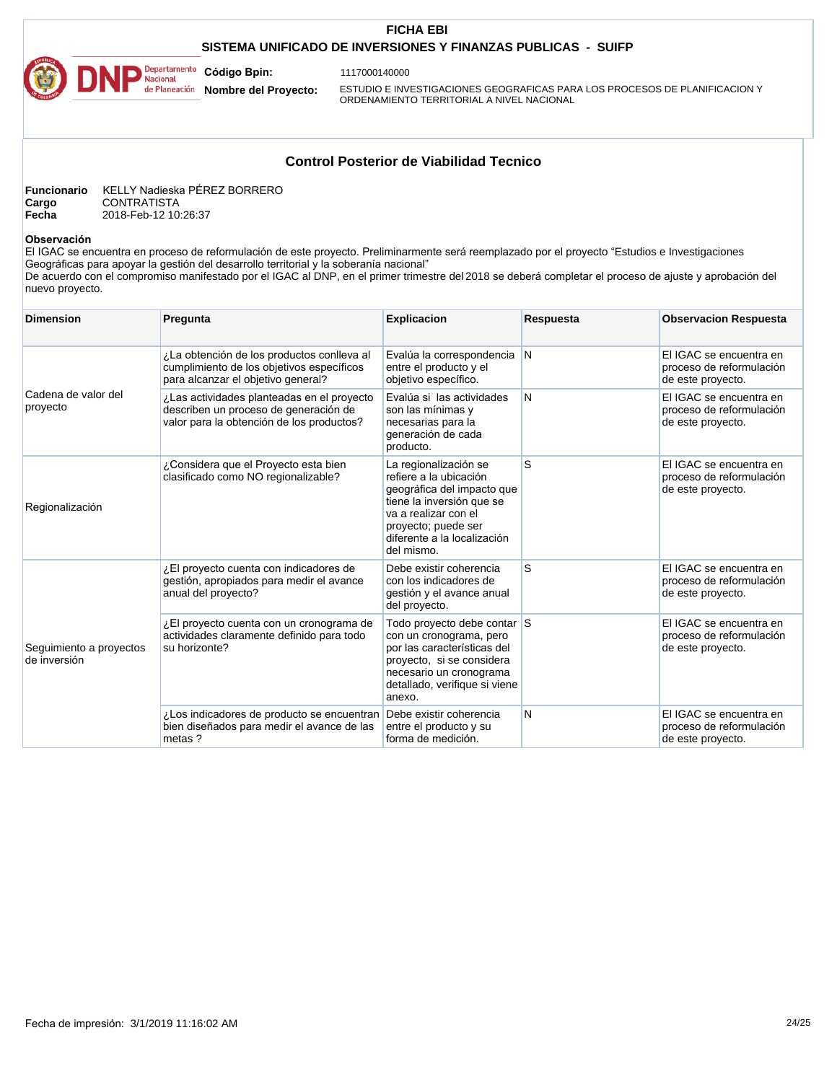## **SISTEMA UNIFICADO DE INVERSIONES Y FINANZAS PUBLICAS - SUIFP**



1117000140000

Nacional<br>
Nacional<br>
de Planeación **Nombre del Proyecto:** 

ESTUDIO E INVESTIGACIONES GEOGRAFICAS PARA LOS PROCESOS DE PLANIFICACION Y ORDENAMIENTO TERRITORIAL A NIVEL NACIONAL

#### **Control Posterior de Viabilidad Tecnico**

| Funcionario | KELLY Nadieska PÉREZ BORRERO |
|-------------|------------------------------|
| Cargo       | <b>CONTRATISTA</b>           |
| Fecha       | 2018-Feb-12 10:26:37         |

#### **Observación**

El IGAC se encuentra en proceso de reformulación de este proyecto. Preliminarmente será reemplazado por el proyecto "Estudios e Investigaciones Geográficas para apoyar la gestión del desarrollo territorial y la soberanía nacional" De acuerdo con el compromiso manifestado por el IGAC al DNP, en el primer trimestre del 2018 se deberá completar el proceso de ajuste y aprobación del nuevo proyecto.

| <b>Dimension</b>                        | Pregunta                                                                                                                         | <b>Explicacion</b>                                                                                                                                                                                     | Respuesta | <b>Observacion Respuesta</b>                                             |
|-----------------------------------------|----------------------------------------------------------------------------------------------------------------------------------|--------------------------------------------------------------------------------------------------------------------------------------------------------------------------------------------------------|-----------|--------------------------------------------------------------------------|
| Cadena de valor del<br>proyecto         | ¿La obtención de los productos conlleva al<br>cumplimiento de los objetivos específicos<br>para alcanzar el objetivo general?    | Evalúa la correspondencia N<br>entre el producto y el<br>objetivo específico.                                                                                                                          |           | El IGAC se encuentra en<br>proceso de reformulación<br>de este proyecto. |
|                                         | ¿Las actividades planteadas en el proyecto<br>describen un proceso de generación de<br>valor para la obtención de los productos? | Evalúa si las actividades<br>son las mínimas y<br>necesarias para la<br>generación de cada<br>producto.                                                                                                | N         | El IGAC se encuentra en<br>proceso de reformulación<br>de este proyecto. |
| Regionalización                         | ¿Considera que el Proyecto esta bien<br>clasificado como NO regionalizable?                                                      | La regionalización se<br>refiere a la ubicación<br>geográfica del impacto que<br>tiene la inversión que se<br>va a realizar con el<br>proyecto; puede ser<br>diferente a la localización<br>del mismo. | S         | El IGAC se encuentra en<br>proceso de reformulación<br>de este proyecto. |
| Seguimiento a proyectos<br>de inversión | ¿El proyecto cuenta con indicadores de<br>gestión, apropiados para medir el avance<br>anual del proyecto?                        | Debe existir coherencia<br>con los indicadores de<br>gestión y el avance anual<br>del proyecto.                                                                                                        | S         | El IGAC se encuentra en<br>proceso de reformulación<br>de este proyecto. |
|                                         | ¿El proyecto cuenta con un cronograma de<br>actividades claramente definido para todo<br>su horizonte?                           | Todo proyecto debe contar S<br>con un cronograma, pero<br>por las características del<br>proyecto, si se considera<br>necesario un cronograma<br>detallado, verifique si viene<br>anexo.               |           | El IGAC se encuentra en<br>proceso de reformulación<br>de este proyecto. |
|                                         | ¿Los indicadores de producto se encuentran Debe existir coherencia<br>bien diseñados para medir el avance de las<br>metas?       | entre el producto y su<br>forma de medición.                                                                                                                                                           | N         | El IGAC se encuentra en<br>proceso de reformulación<br>de este proyecto. |